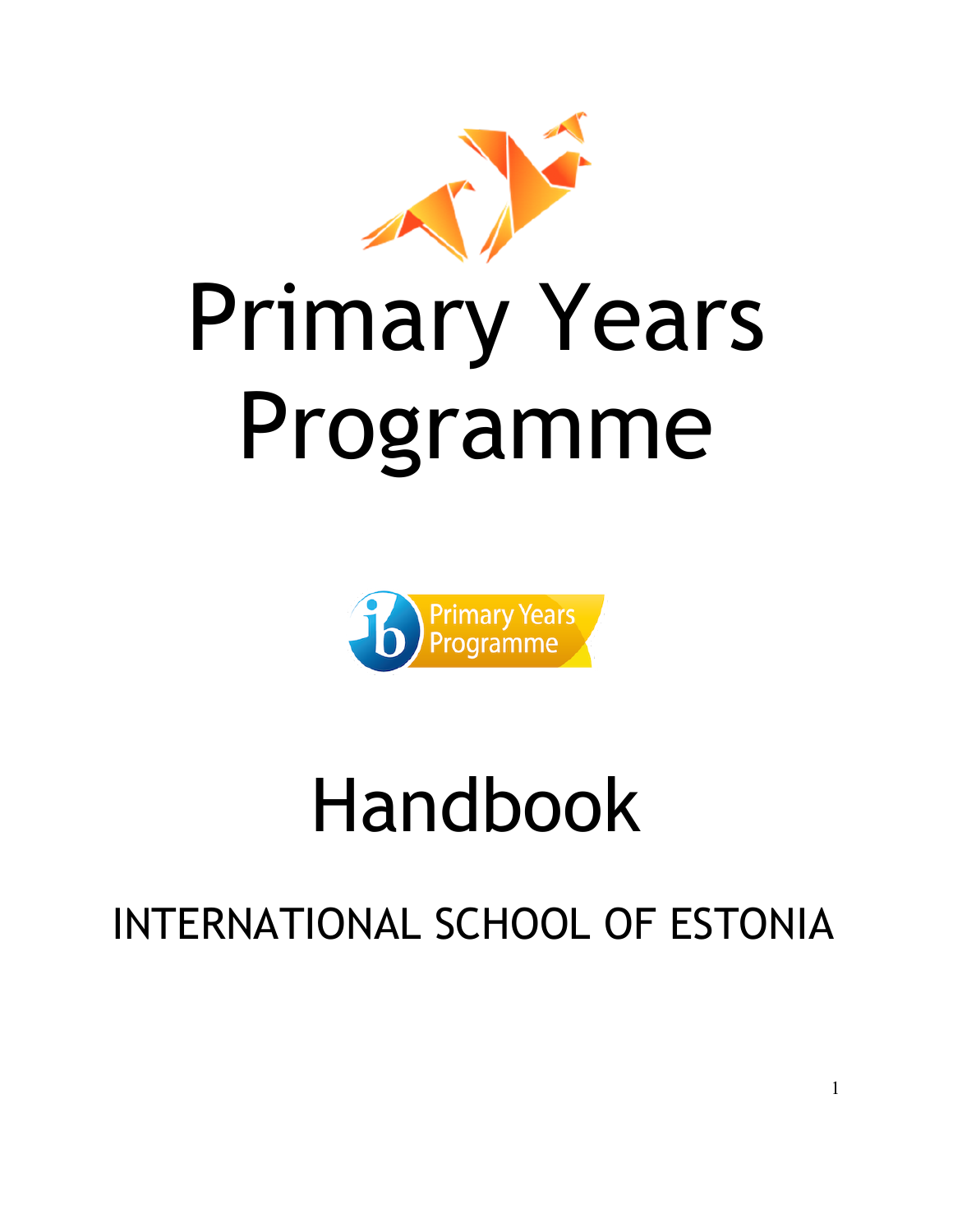

# Primary Years Programme



## Handbook

### INTERNATIONAL SCHOOL OF ESTONIA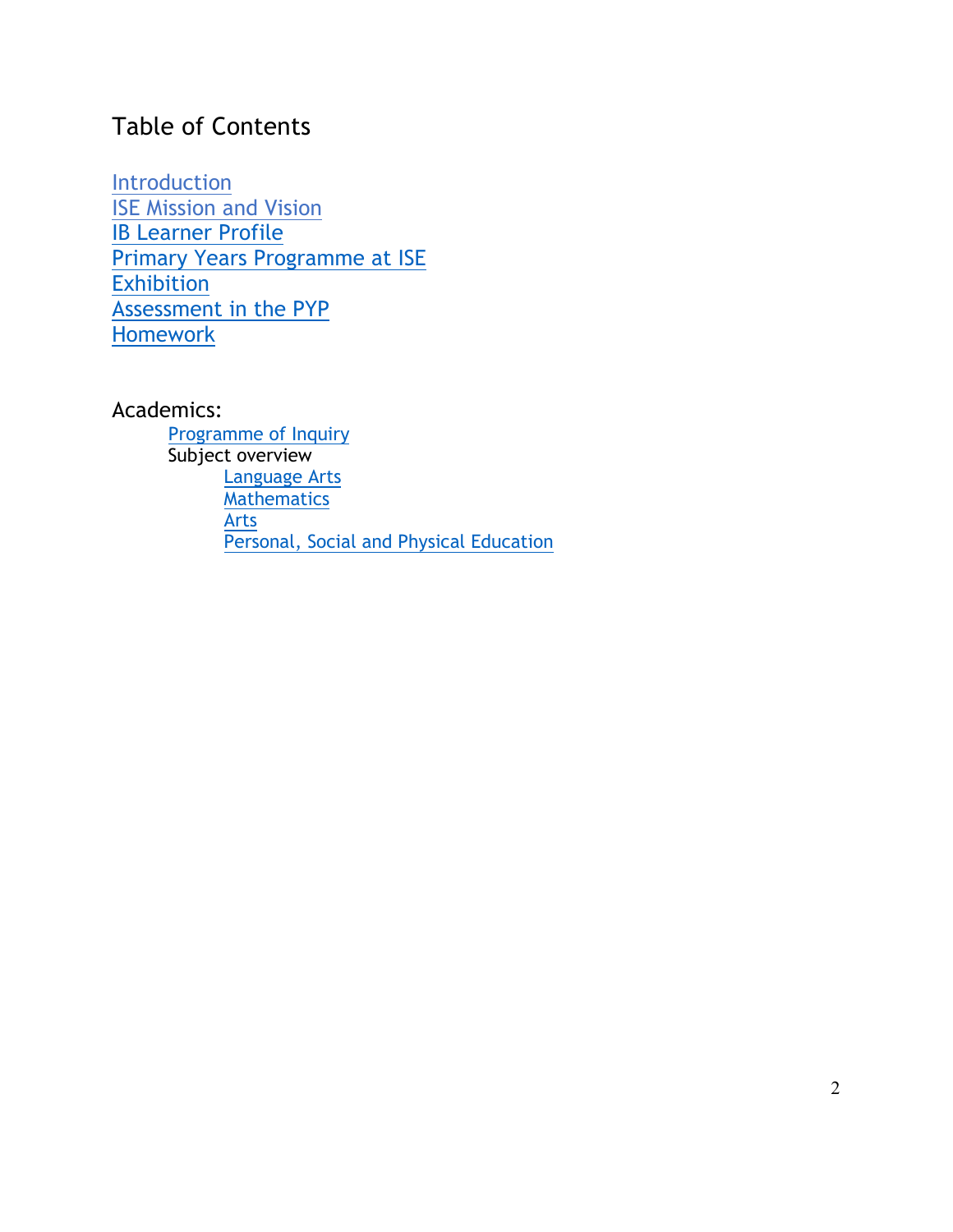#### Table of Contents

**Introduction ISE Mission and Vision IB Learner Profile** Primary Years Programme at ISE Exhibition Assessment in the PYP Homework

Academics: Programme of Inquiry Subject overview Language Arts **Mathematics** Arts Personal, Social and Physical Education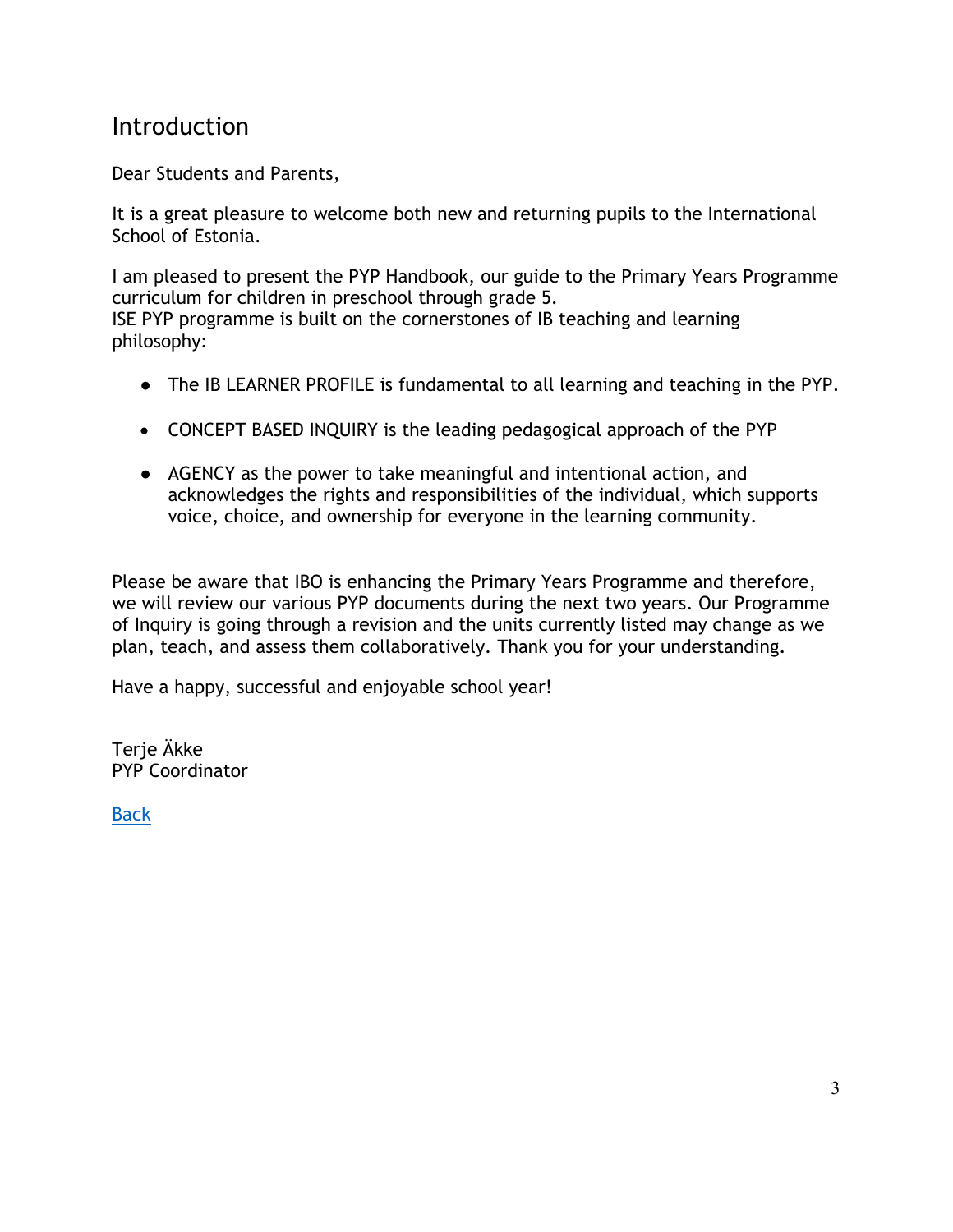#### **Introduction**

Dear Students and Parents,

It is a great pleasure to welcome both new and returning pupils to the International School of Estonia.

I am pleased to present the PYP Handbook, our guide to the Primary Years Programme curriculum for children in preschool through grade 5. ISE PYP programme is built on the cornerstones of IB teaching and learning philosophy:

- The IB LEARNER PROFILE is fundamental to all learning and teaching in the PYP.
- CONCEPT BASED INQUIRY is the leading pedagogical approach of the PYP
- AGENCY as the power to take meaningful and intentional action, and acknowledges the rights and responsibilities of the individual, which supports voice, choice, and ownership for everyone in the learning community.

Please be aware that IBO is enhancing the Primary Years Programme and therefore, we will review our various PYP documents during the next two years. Our Programme of Inquiry is going through a revision and the units currently listed may change as we plan, teach, and assess them collaboratively. Thank you for your understanding.

Have a happy, successful and enjoyable school year!

Terje Äkke PYP Coordinator

Back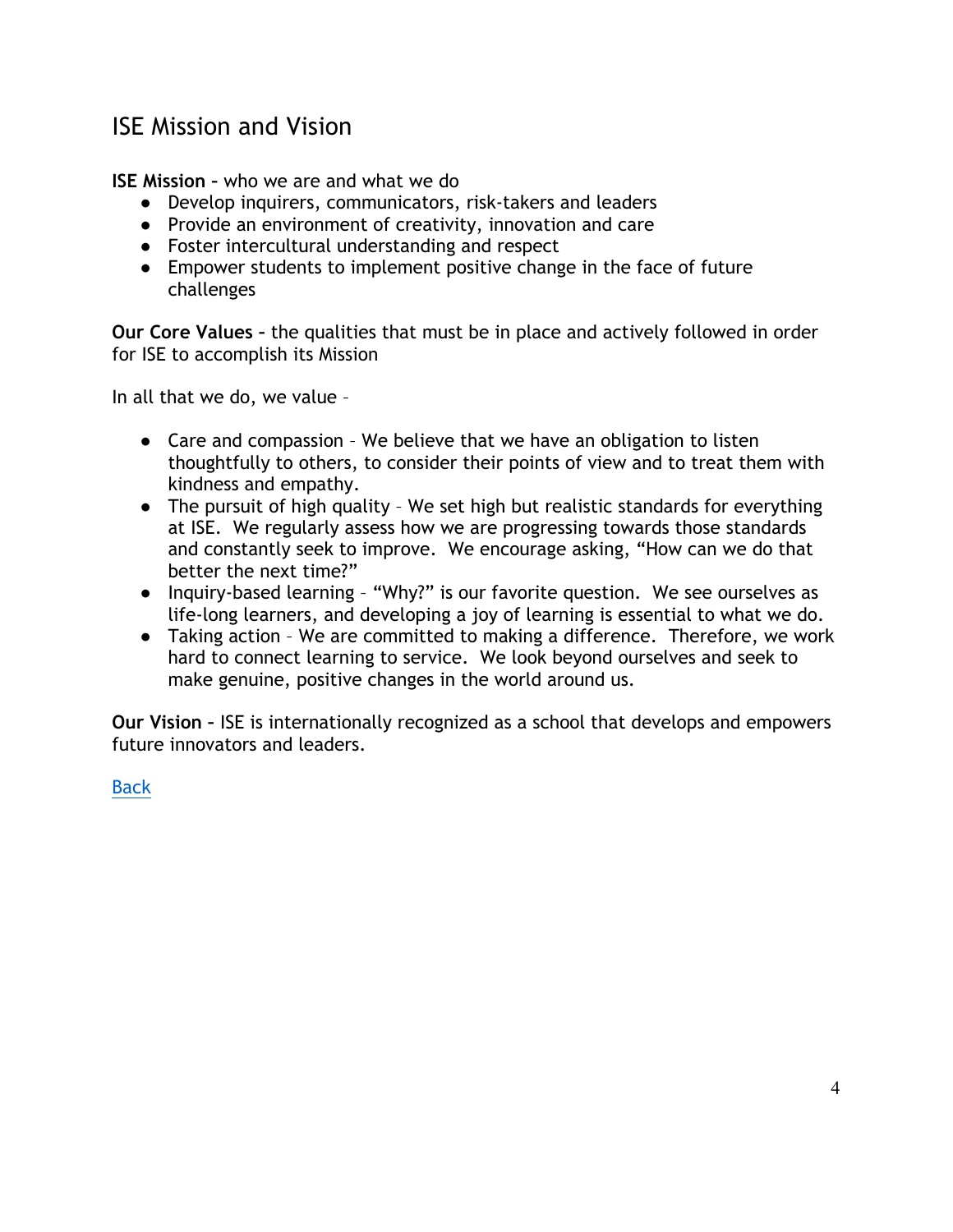#### ISE Mission and Vision

**ISE Mission –** who we are and what we do

- Develop inquirers, communicators, risk-takers and leaders
- Provide an environment of creativity, innovation and care
- Foster intercultural understanding and respect
- Empower students to implement positive change in the face of future challenges

**Our Core Values –** the qualities that must be in place and actively followed in order for ISE to accomplish its Mission

In all that we do, we value –

- Care and compassion We believe that we have an obligation to listen thoughtfully to others, to consider their points of view and to treat them with kindness and empathy.
- The pursuit of high quality We set high but realistic standards for everything at ISE. We regularly assess how we are progressing towards those standards and constantly seek to improve. We encourage asking, "How can we do that better the next time?"
- Inquiry-based learning "Why?" is our favorite question. We see ourselves as life-long learners, and developing a joy of learning is essential to what we do.
- Taking action We are committed to making a difference. Therefore, we work hard to connect learning to service. We look beyond ourselves and seek to make genuine, positive changes in the world around us.

**Our Vision –** ISE is internationally recognized as a school that develops and empowers future innovators and leaders.

Back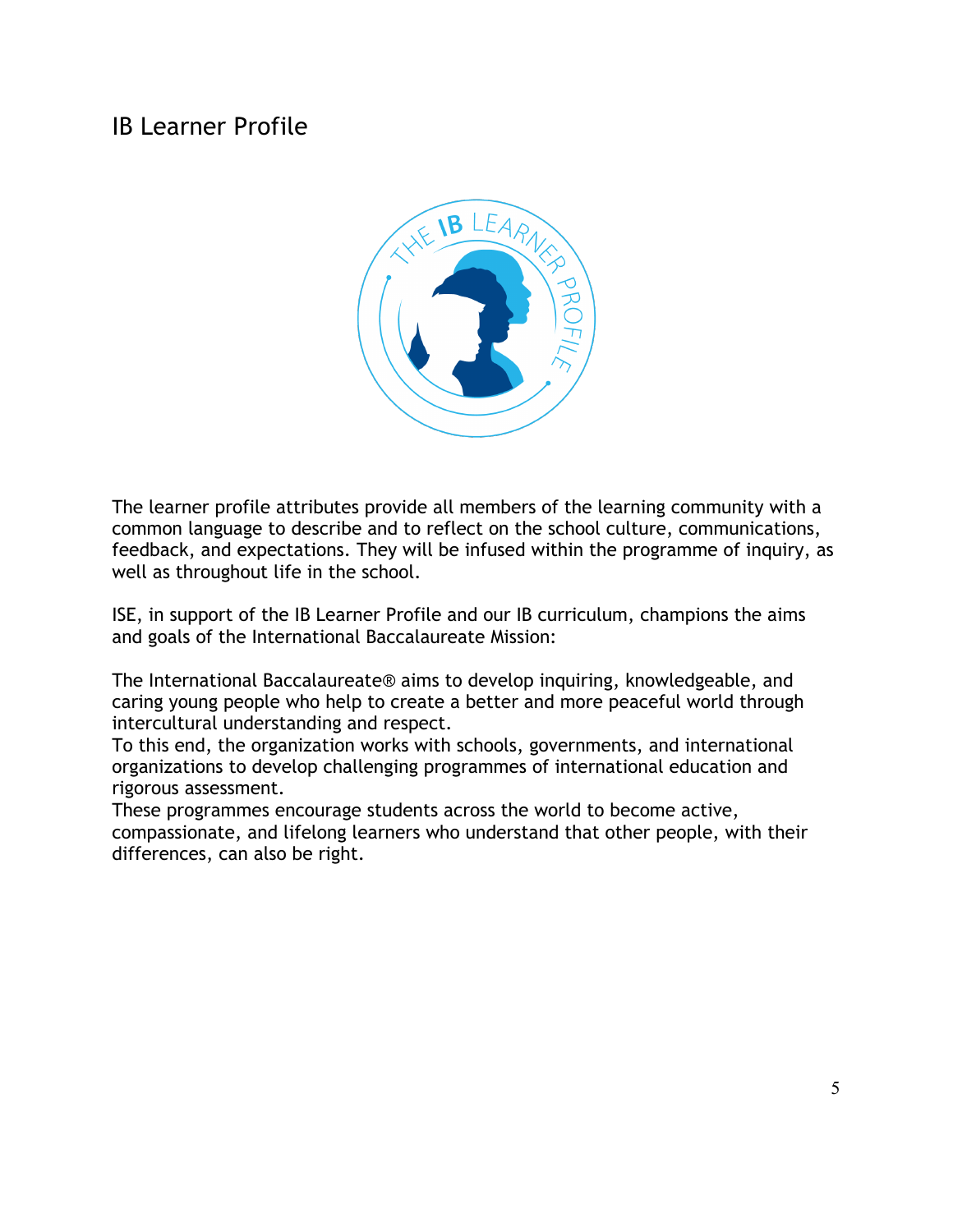#### IB Learner Profile



The learner profile attributes provide all members of the learning community with a common language to describe and to reflect on the school culture, communications, feedback, and expectations. They will be infused within the programme of inquiry, as well as throughout life in the school.

ISE, in support of the IB Learner Profile and our IB curriculum, champions the aims and goals of the International Baccalaureate Mission:

The International Baccalaureate® aims to develop inquiring, knowledgeable, and caring young people who help to create a better and more peaceful world through intercultural understanding and respect.

To this end, the organization works with schools, governments, and international organizations to develop challenging programmes of international education and rigorous assessment.

These programmes encourage students across the world to become active, compassionate, and lifelong learners who understand that other people, with their differences, can also be right.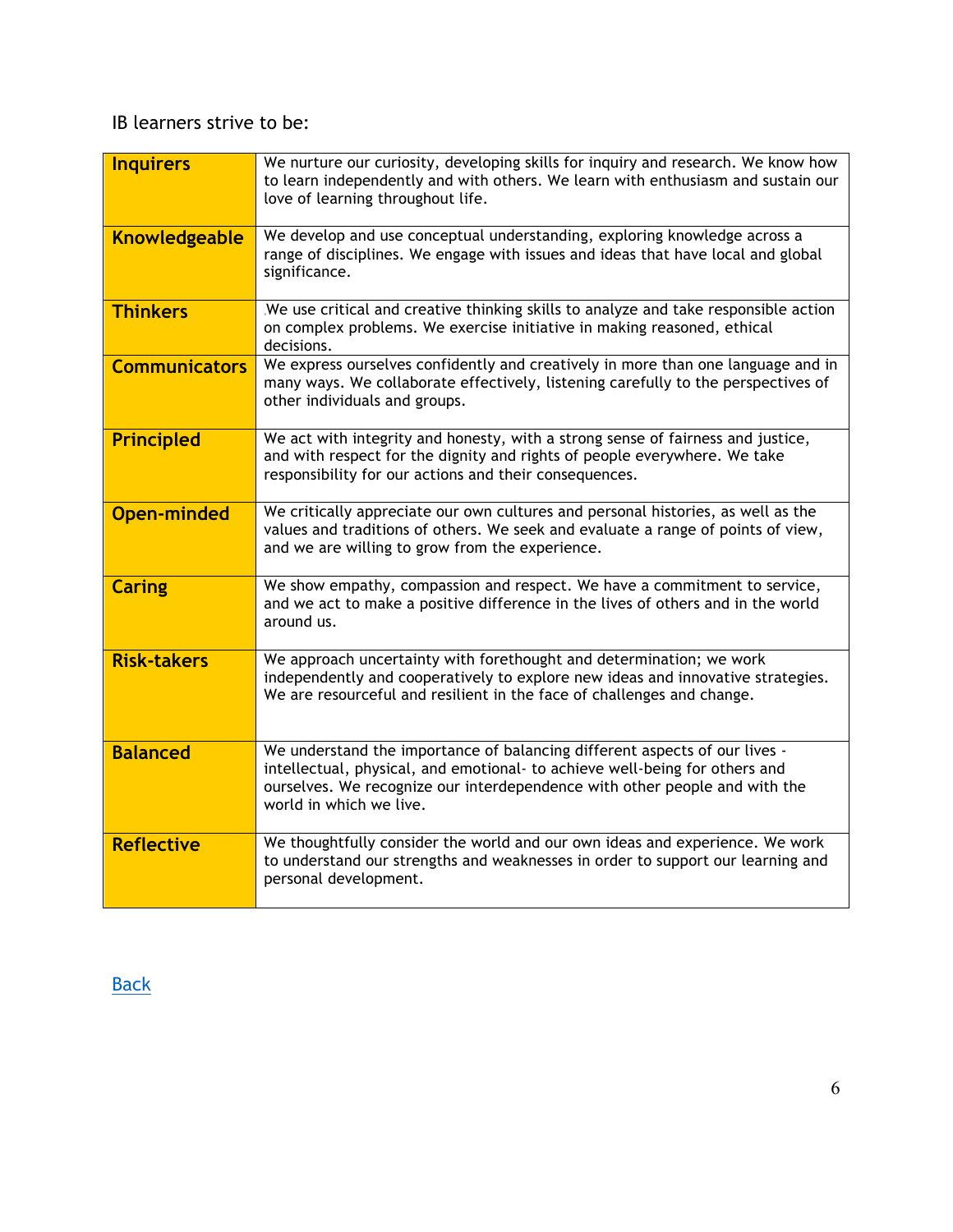#### IB learners strive to be:

| <b>Inquirers</b>     | We nurture our curiosity, developing skills for inquiry and research. We know how<br>to learn independently and with others. We learn with enthusiasm and sustain our<br>love of learning throughout life.                                                         |
|----------------------|--------------------------------------------------------------------------------------------------------------------------------------------------------------------------------------------------------------------------------------------------------------------|
| <b>Knowledgeable</b> | We develop and use conceptual understanding, exploring knowledge across a<br>range of disciplines. We engage with issues and ideas that have local and global<br>significance.                                                                                     |
| <b>Thinkers</b>      | We use critical and creative thinking skills to analyze and take responsible action<br>on complex problems. We exercise initiative in making reasoned, ethical<br>decisions.                                                                                       |
| <b>Communicators</b> | We express ourselves confidently and creatively in more than one language and in<br>many ways. We collaborate effectively, listening carefully to the perspectives of<br>other individuals and groups.                                                             |
| <b>Principled</b>    | We act with integrity and honesty, with a strong sense of fairness and justice,<br>and with respect for the dignity and rights of people everywhere. We take<br>responsibility for our actions and their consequences.                                             |
| <b>Open-minded</b>   | We critically appreciate our own cultures and personal histories, as well as the<br>values and traditions of others. We seek and evaluate a range of points of view,<br>and we are willing to grow from the experience.                                            |
| <b>Caring</b>        | We show empathy, compassion and respect. We have a commitment to service,<br>and we act to make a positive difference in the lives of others and in the world<br>around us.                                                                                        |
| <b>Risk-takers</b>   | We approach uncertainty with forethought and determination; we work<br>independently and cooperatively to explore new ideas and innovative strategies.<br>We are resourceful and resilient in the face of challenges and change.                                   |
| <b>Balanced</b>      | We understand the importance of balancing different aspects of our lives -<br>intellectual, physical, and emotional- to achieve well-being for others and<br>ourselves. We recognize our interdependence with other people and with the<br>world in which we live. |
| <b>Reflective</b>    | We thoughtfully consider the world and our own ideas and experience. We work<br>to understand our strengths and weaknesses in order to support our learning and<br>personal development.                                                                           |

**Back**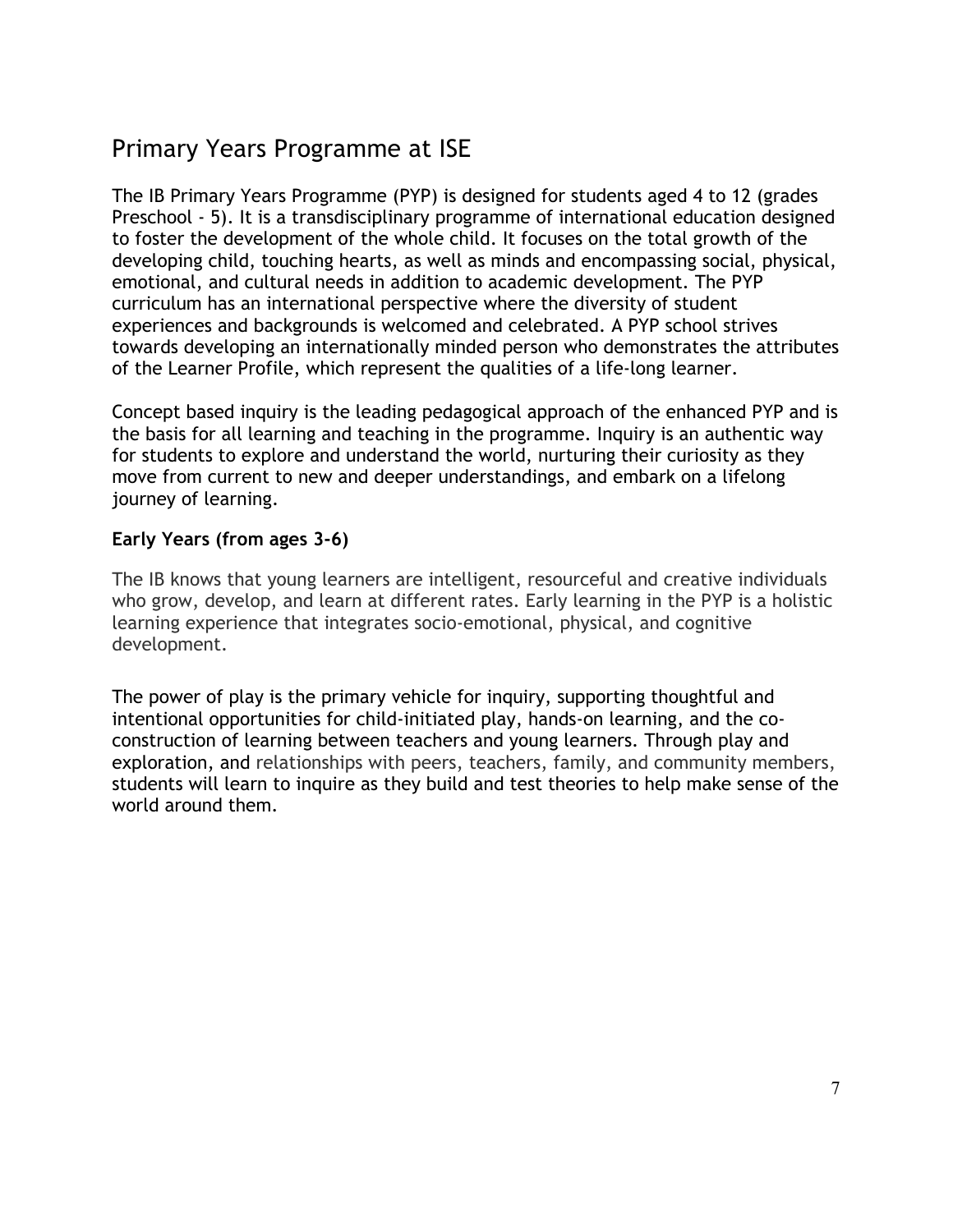#### Primary Years Programme at ISE

The IB Primary Years Programme (PYP) is designed for students aged 4 to 12 (grades Preschool - 5). It is a transdisciplinary programme of international education designed to foster the development of the whole child. It focuses on the total growth of the developing child, touching hearts, as well as minds and encompassing social, physical, emotional, and cultural needs in addition to academic development. The PYP curriculum has an international perspective where the diversity of student experiences and backgrounds is welcomed and celebrated. A PYP school strives towards developing an internationally minded person who demonstrates the attributes of the Learner Profile, which represent the qualities of a life-long learner.

Concept based inquiry is the leading pedagogical approach of the enhanced PYP and is the basis for all learning and teaching in the programme. Inquiry is an authentic way for students to explore and understand the world, nurturing their curiosity as they move from current to new and deeper understandings, and embark on a lifelong journey of learning.

#### **Early Years (from ages 3-6)**

The IB knows that young learners are intelligent, resourceful and creative individuals who grow, develop, and learn at different rates. Early learning in the PYP is a holistic learning experience that integrates socio-emotional, physical, and cognitive development.

The power of play is the primary vehicle for inquiry, supporting thoughtful and intentional opportunities for child-initiated play, hands-on learning, and the coconstruction of learning between teachers and young learners. Through play and exploration, and relationships with peers, teachers, family, and community members, students will learn to inquire as they build and test theories to help make sense of the world around them.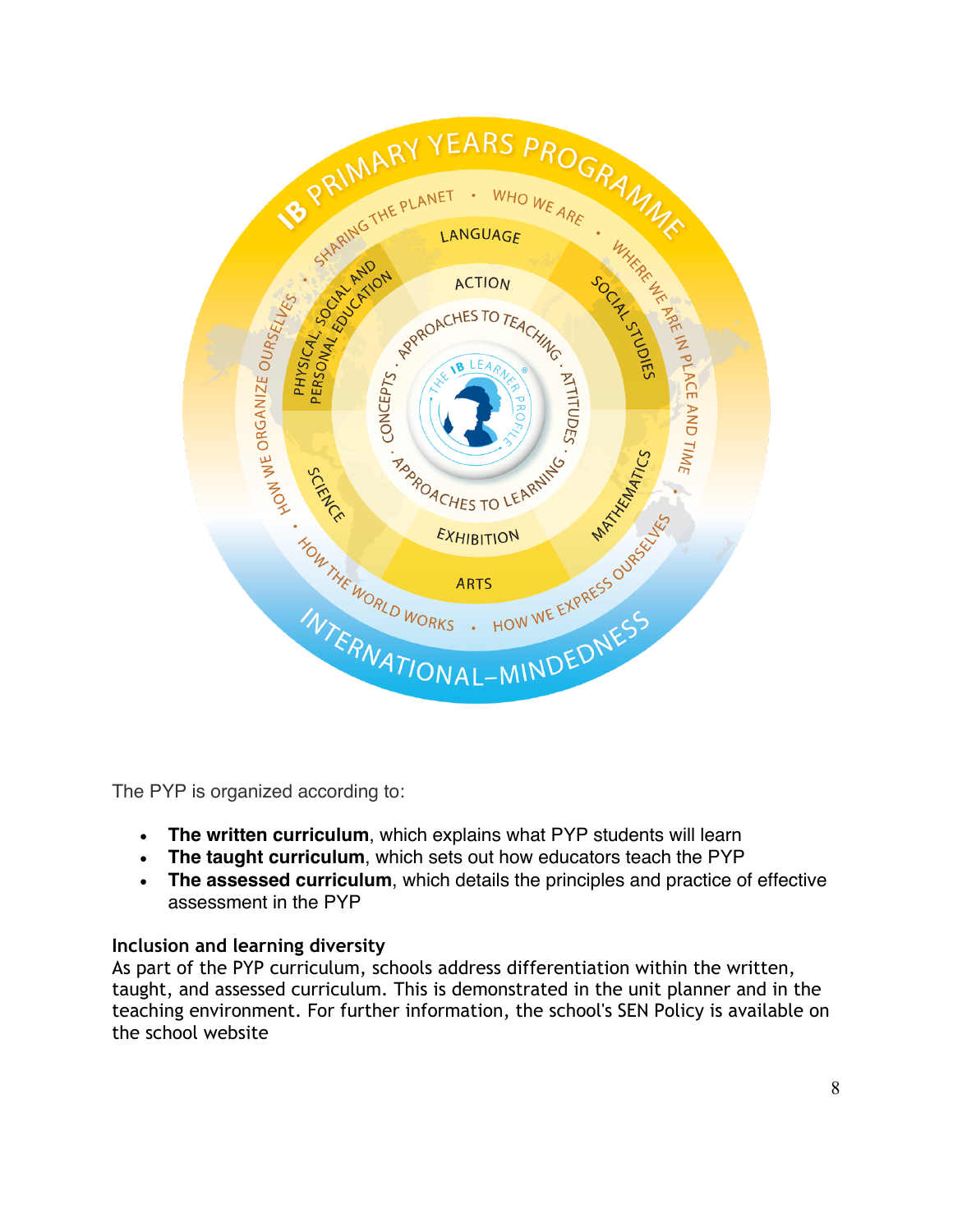

The PYP is organized according to:

- **The written curriculum**, which explains what PYP students will learn
- **The taught curriculum**, which sets out how educators teach the PYP
- **The assessed curriculum**, which details the principles and practice of effective assessment in the PYP

#### **Inclusion and learning diversity**

As part of the PYP curriculum, schools address differentiation within the written, taught, and assessed curriculum. This is demonstrated in the unit planner and in the teaching environment. For further information, the school's SEN Policy is available on the school website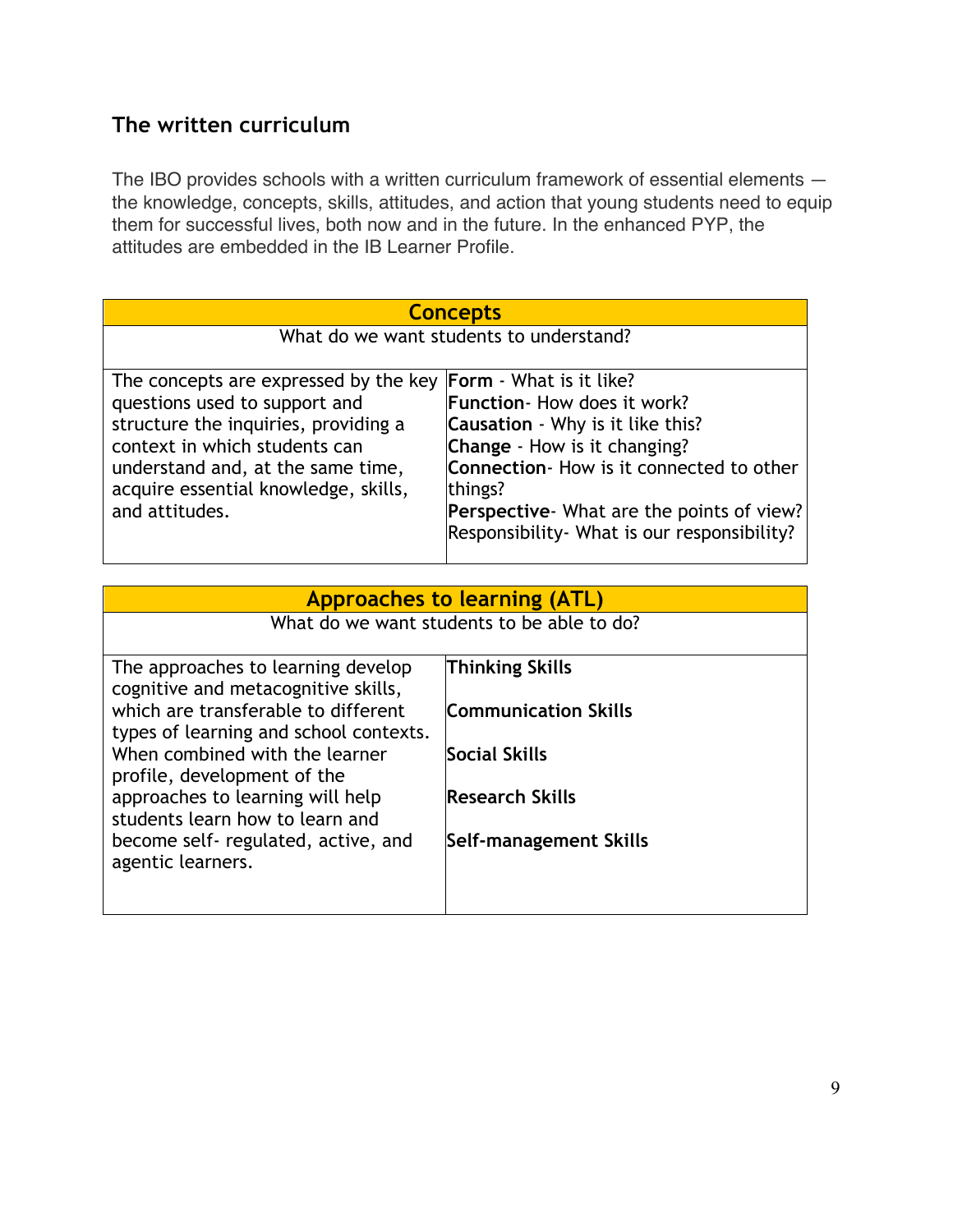#### **The written curriculum**

The IBO provides schools with a written curriculum framework of essential elements the knowledge, concepts, skills, attitudes, and action that young students need to equip them for successful lives, both now and in the future. In the enhanced PYP, the attitudes are embedded in the IB Learner Profile.

| <b>Concepts</b>                                                                                                                                                                                                                                                        |                                                                                                                                                                                                                                                            |  |
|------------------------------------------------------------------------------------------------------------------------------------------------------------------------------------------------------------------------------------------------------------------------|------------------------------------------------------------------------------------------------------------------------------------------------------------------------------------------------------------------------------------------------------------|--|
|                                                                                                                                                                                                                                                                        | What do we want students to understand?                                                                                                                                                                                                                    |  |
| The concepts are expressed by the key Form - What is it like?<br>questions used to support and<br>structure the inquiries, providing a<br>context in which students can<br>understand and, at the same time,<br>acquire essential knowledge, skills,<br>and attitudes. | <b>Function</b> - How does it work?<br>Causation - Why is it like this?<br>Change - How is it changing?<br>Connection - How is it connected to other<br>things?<br>Perspective What are the points of view?<br>Responsibility- What is our responsibility? |  |

|                                                                               | <b>Approaches to learning (ATL)</b>        |
|-------------------------------------------------------------------------------|--------------------------------------------|
|                                                                               | What do we want students to be able to do? |
| The approaches to learning develop<br>cognitive and metacognitive skills,     | Thinking Skills                            |
| which are transferable to different<br>types of learning and school contexts. | <b>Communication Skills</b>                |
| When combined with the learner<br>profile, development of the                 | <b>Social Skills</b>                       |
| approaches to learning will help<br>students learn how to learn and           | <b>Research Skills</b>                     |
| become self- regulated, active, and<br>agentic learners.                      | Self-management Skills                     |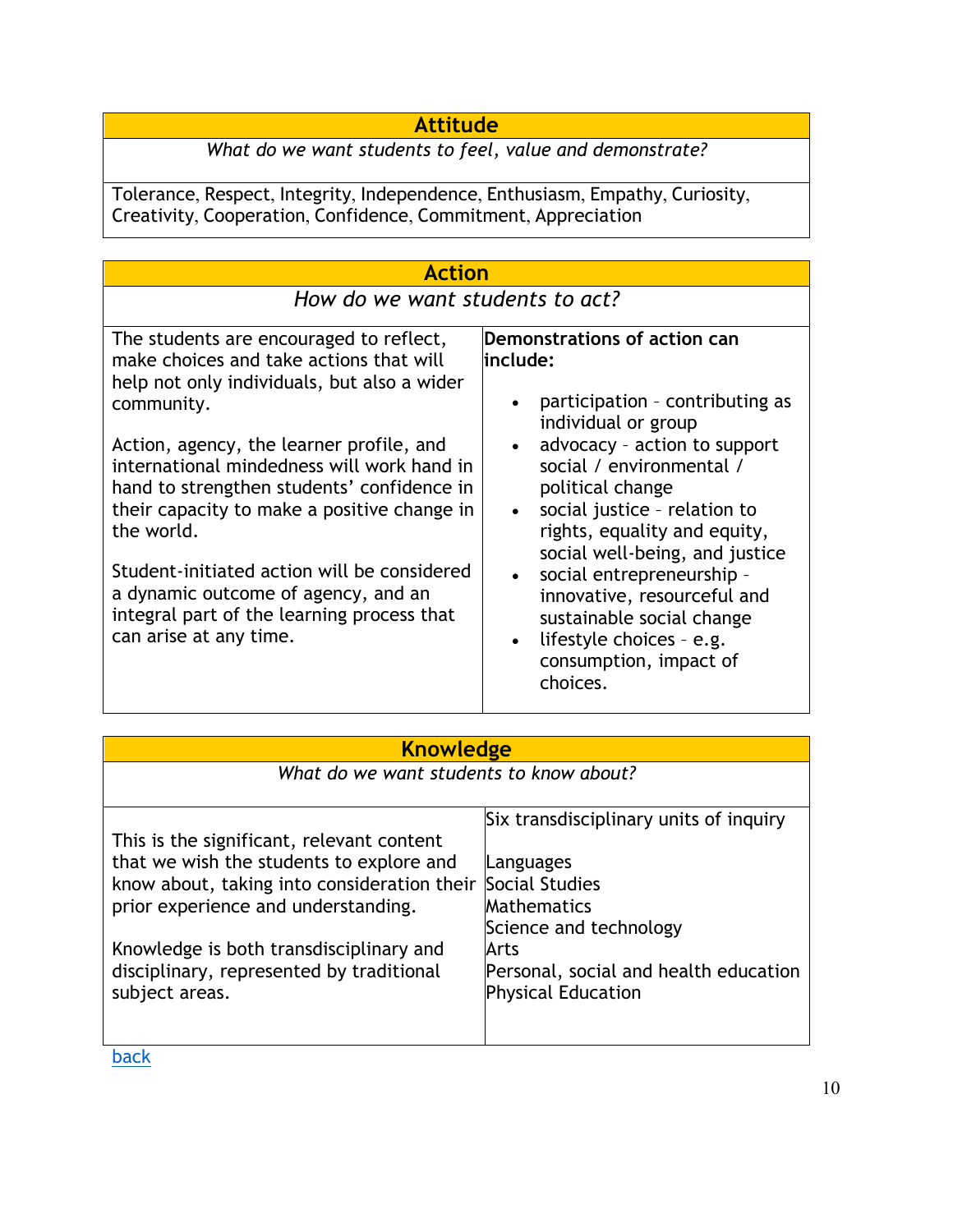#### **Attitude**

*What do we want students to feel, value and demonstrate?*

Tolerance, Respect, Integrity, Independence, Enthusiasm, Empathy, Curiosity, Creativity, Cooperation, Confidence, Commitment, Appreciation

| <b>Action</b>                                                                                                                                                                                                                                                                                                                                                                                                                                                                                                      |                                                                                                                                                                                                                                                                                                                                                                                                                                                                                                      |  |
|--------------------------------------------------------------------------------------------------------------------------------------------------------------------------------------------------------------------------------------------------------------------------------------------------------------------------------------------------------------------------------------------------------------------------------------------------------------------------------------------------------------------|------------------------------------------------------------------------------------------------------------------------------------------------------------------------------------------------------------------------------------------------------------------------------------------------------------------------------------------------------------------------------------------------------------------------------------------------------------------------------------------------------|--|
| How do we want students to act?                                                                                                                                                                                                                                                                                                                                                                                                                                                                                    |                                                                                                                                                                                                                                                                                                                                                                                                                                                                                                      |  |
| The students are encouraged to reflect,<br>make choices and take actions that will<br>help not only individuals, but also a wider<br>community.<br>Action, agency, the learner profile, and<br>international mindedness will work hand in<br>hand to strengthen students' confidence in<br>their capacity to make a positive change in<br>the world.<br>Student-initiated action will be considered<br>a dynamic outcome of agency, and an<br>integral part of the learning process that<br>can arise at any time. | Demonstrations of action can<br>linclude:<br>participation - contributing as<br>$\bullet$<br>individual or group<br>advocacy - action to support<br>social / environmental /<br>political change<br>social justice - relation to<br>$\bullet$<br>rights, equality and equity,<br>social well-being, and justice<br>social entrepreneurship -<br>$\bullet$<br>innovative, resourceful and<br>sustainable social change<br>lifestyle choices - e.g.<br>$\bullet$<br>consumption, impact of<br>choices. |  |

| <b>Knowledge</b>                                                                                                                                                                                                                                                                     |                                                                                                                                                                                              |
|--------------------------------------------------------------------------------------------------------------------------------------------------------------------------------------------------------------------------------------------------------------------------------------|----------------------------------------------------------------------------------------------------------------------------------------------------------------------------------------------|
| What do we want students to know about?                                                                                                                                                                                                                                              |                                                                                                                                                                                              |
| This is the significant, relevant content<br>that we wish the students to explore and<br>know about, taking into consideration their<br>prior experience and understanding.<br>Knowledge is both transdisciplinary and<br>disciplinary, represented by traditional<br>subject areas. | Six transdisciplinary units of inquiry<br>Languages<br>Social Studies<br>Mathematics<br>Science and technology<br>Arts<br>Personal, social and health education<br><b>Physical Education</b> |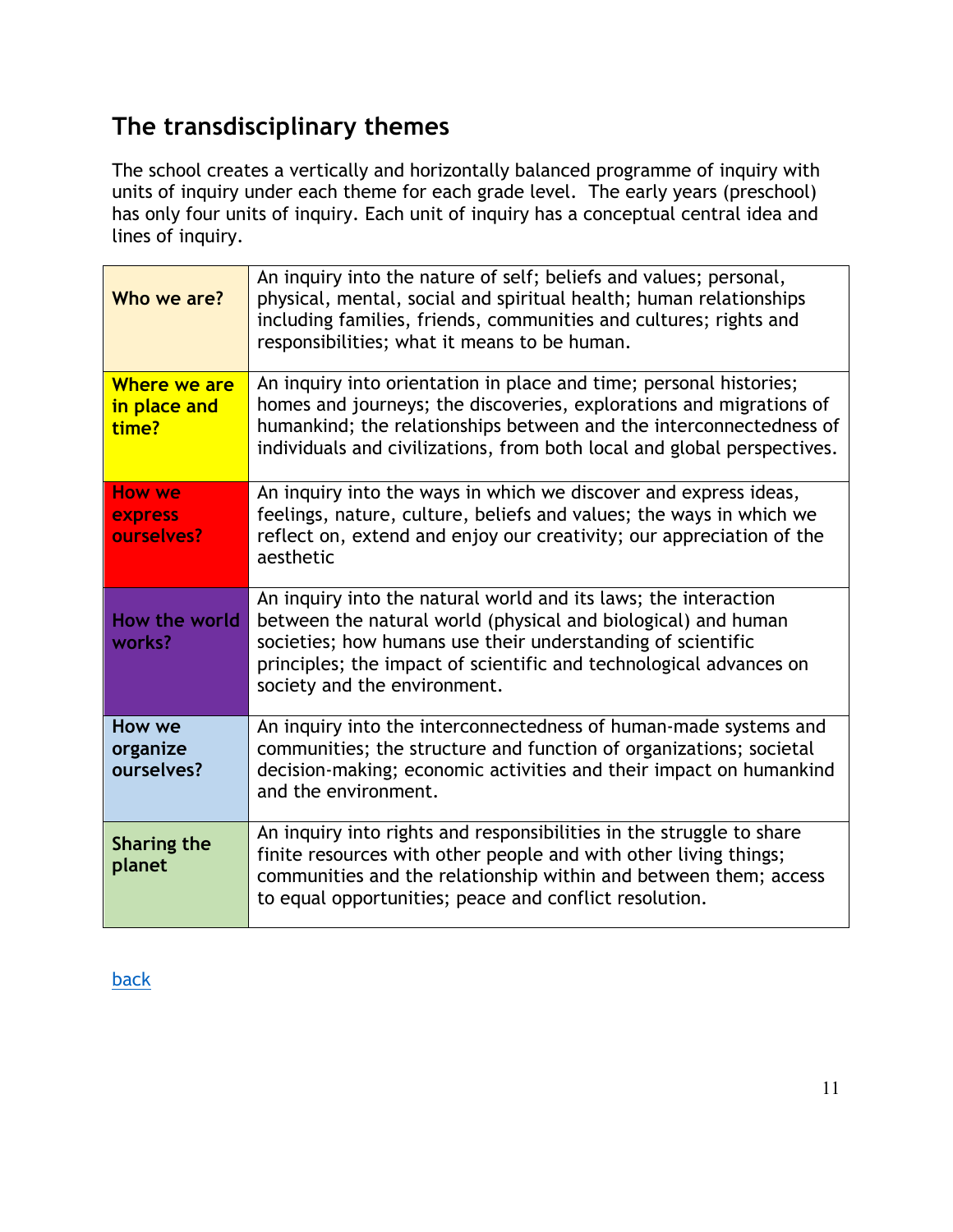#### **The transdisciplinary themes**

The school creates a vertically and horizontally balanced programme of inquiry with units of inquiry under each theme for each grade level. The early years (preschool) has only four units of inquiry. Each unit of inquiry has a conceptual central idea and lines of inquiry.

| Who we are?                            | An inquiry into the nature of self; beliefs and values; personal,<br>physical, mental, social and spiritual health; human relationships<br>including families, friends, communities and cultures; rights and<br>responsibilities; what it means to be human.                                          |
|----------------------------------------|-------------------------------------------------------------------------------------------------------------------------------------------------------------------------------------------------------------------------------------------------------------------------------------------------------|
| Where we are<br>in place and<br>time?  | An inquiry into orientation in place and time; personal histories;<br>homes and journeys; the discoveries, explorations and migrations of<br>humankind; the relationships between and the interconnectedness of<br>individuals and civilizations, from both local and global perspectives.            |
| <b>How we</b><br>express<br>ourselves? | An inquiry into the ways in which we discover and express ideas,<br>feelings, nature, culture, beliefs and values; the ways in which we<br>reflect on, extend and enjoy our creativity; our appreciation of the<br>aesthetic                                                                          |
| How the world<br>works?                | An inquiry into the natural world and its laws; the interaction<br>between the natural world (physical and biological) and human<br>societies; how humans use their understanding of scientific<br>principles; the impact of scientific and technological advances on<br>society and the environment. |
| How we<br>organize<br>ourselves?       | An inquiry into the interconnectedness of human-made systems and<br>communities; the structure and function of organizations; societal<br>decision-making; economic activities and their impact on humankind<br>and the environment.                                                                  |
| <b>Sharing the</b><br>planet           | An inquiry into rights and responsibilities in the struggle to share<br>finite resources with other people and with other living things;<br>communities and the relationship within and between them; access<br>to equal opportunities; peace and conflict resolution.                                |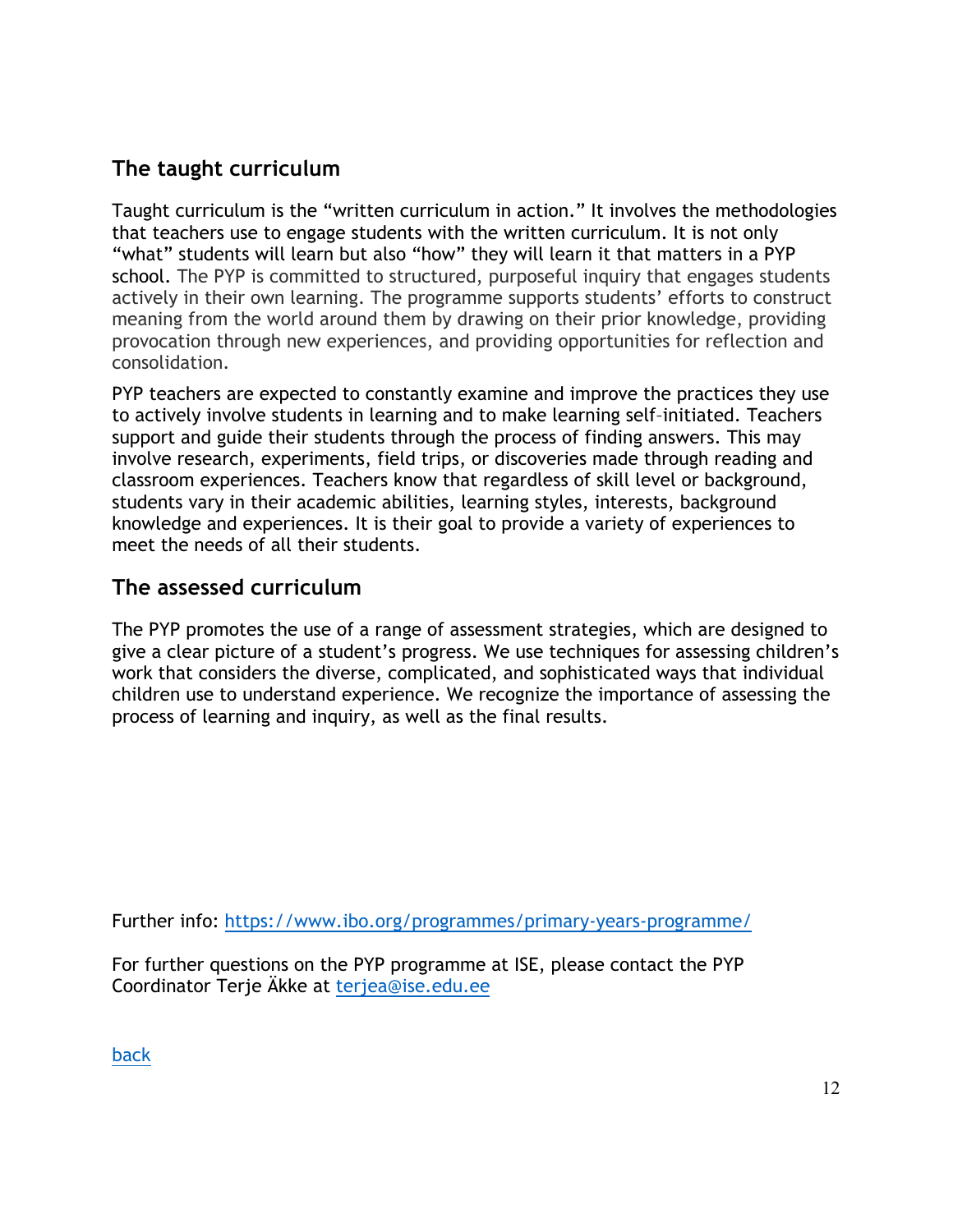#### **The taught curriculum**

Taught curriculum is the "written curriculum in action." It involves the methodologies that teachers use to engage students with the written curriculum. It is not only "what" students will learn but also "how" they will learn it that matters in a PYP school. The PYP is committed to structured, purposeful inquiry that engages students actively in their own learning. The programme supports students' efforts to construct meaning from the world around them by drawing on their prior knowledge, providing provocation through new experiences, and providing opportunities for reflection and consolidation.

PYP teachers are expected to constantly examine and improve the practices they use to actively involve students in learning and to make learning self–initiated. Teachers support and guide their students through the process of finding answers. This may involve research, experiments, field trips, or discoveries made through reading and classroom experiences. Teachers know that regardless of skill level or background, students vary in their academic abilities, learning styles, interests, background knowledge and experiences. It is their goal to provide a variety of experiences to meet the needs of all their students.

#### **The assessed curriculum**

The PYP promotes the use of a range of assessment strategies, which are designed to give a clear picture of a student's progress. We use techniques for assessing children's work that considers the diverse, complicated, and sophisticated ways that individual children use to understand experience. We recognize the importance of assessing the process of learning and inquiry, as well as the final results.

Further info: https://www.ibo.org/programmes/primary-years-programme/

For further questions on the PYP programme at ISE, please contact the PYP Coordinator Terje Äkke at terjea@ise.edu.ee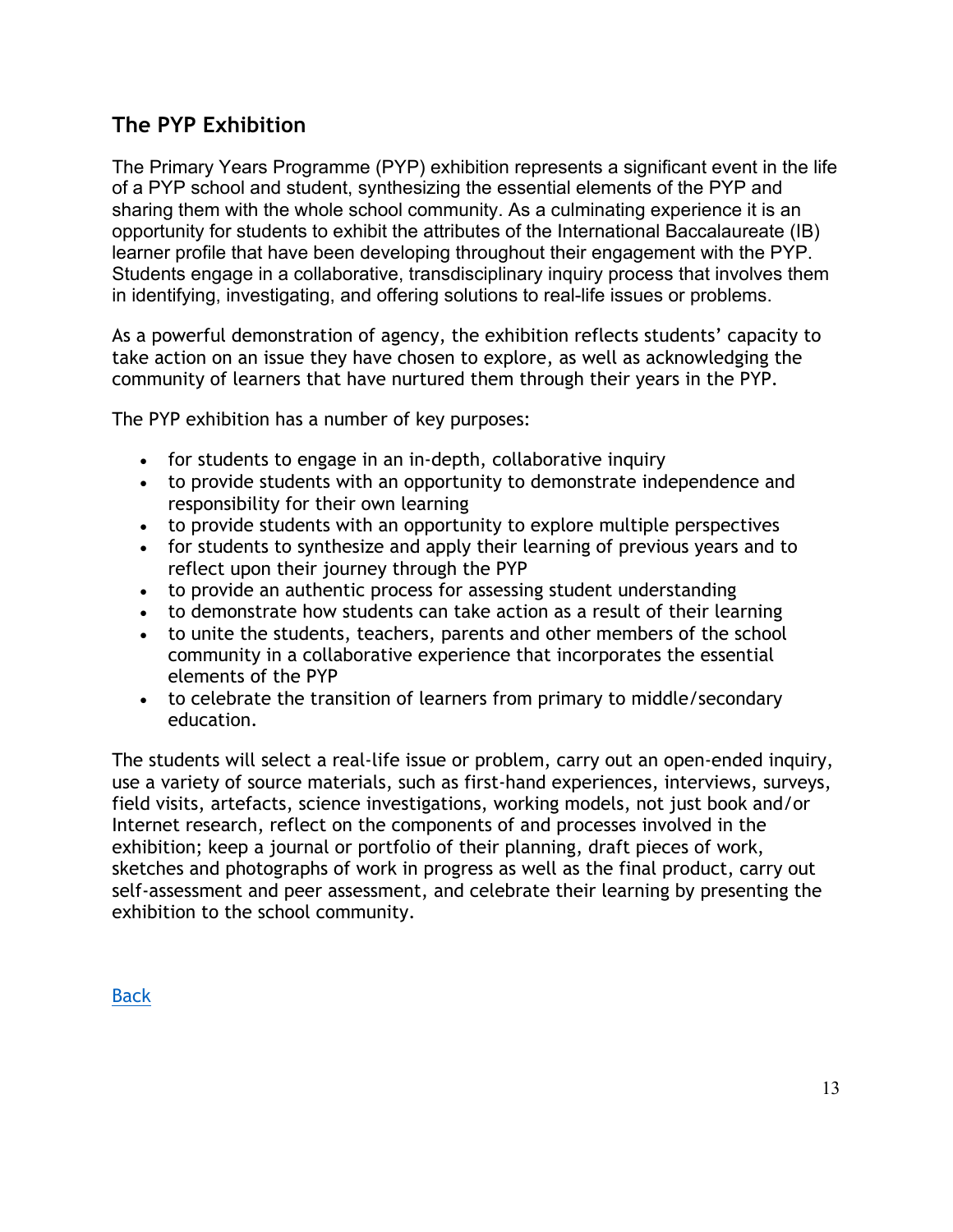#### **The PYP Exhibition**

The Primary Years Programme (PYP) exhibition represents a significant event in the life of a PYP school and student, synthesizing the essential elements of the PYP and sharing them with the whole school community. As a culminating experience it is an opportunity for students to exhibit the attributes of the International Baccalaureate (IB) learner profile that have been developing throughout their engagement with the PYP. Students engage in a collaborative, transdisciplinary inquiry process that involves them in identifying, investigating, and offering solutions to real-life issues or problems.

As a powerful demonstration of agency, the exhibition reflects students' capacity to take action on an issue they have chosen to explore, as well as acknowledging the community of learners that have nurtured them through their years in the PYP.

The PYP exhibition has a number of key purposes:

- for students to engage in an in-depth, collaborative inquiry
- to provide students with an opportunity to demonstrate independence and responsibility for their own learning
- to provide students with an opportunity to explore multiple perspectives
- for students to synthesize and apply their learning of previous years and to reflect upon their journey through the PYP
- to provide an authentic process for assessing student understanding
- to demonstrate how students can take action as a result of their learning
- to unite the students, teachers, parents and other members of the school community in a collaborative experience that incorporates the essential elements of the PYP
- to celebrate the transition of learners from primary to middle/secondary education.

The students will select a real-life issue or problem, carry out an open-ended inquiry, use a variety of source materials, such as first-hand experiences, interviews, surveys, field visits, artefacts, science investigations, working models, not just book and/or Internet research, reflect on the components of and processes involved in the exhibition; keep a journal or portfolio of their planning, draft pieces of work, sketches and photographs of work in progress as well as the final product, carry out self-assessment and peer assessment, and celebrate their learning by presenting the exhibition to the school community.

Back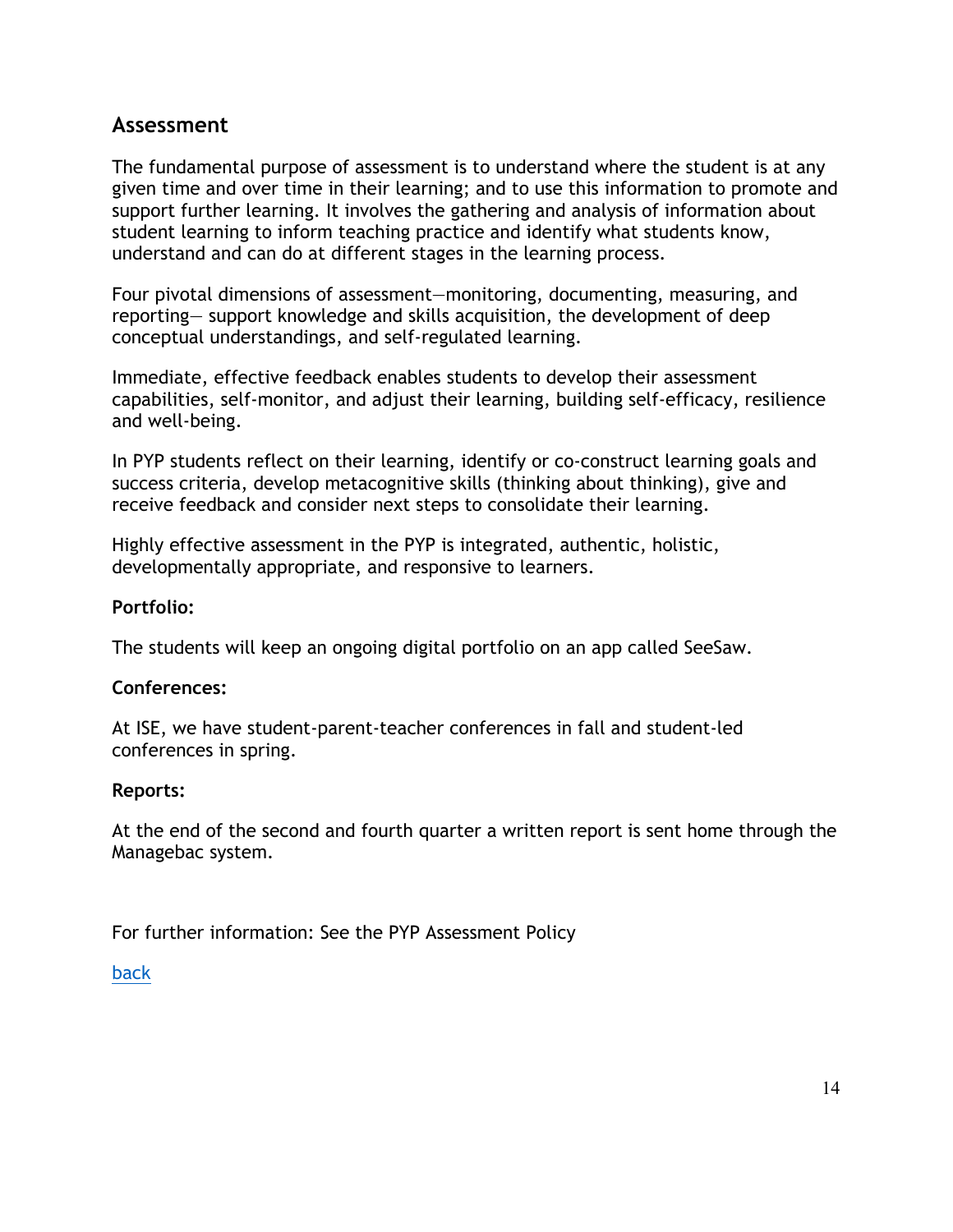#### **Assessment**

The fundamental purpose of assessment is to understand where the student is at any given time and over time in their learning; and to use this information to promote and support further learning. It involves the gathering and analysis of information about student learning to inform teaching practice and identify what students know, understand and can do at different stages in the learning process.

Four pivotal dimensions of assessment—monitoring, documenting, measuring, and reporting— support knowledge and skills acquisition, the development of deep conceptual understandings, and self-regulated learning.

Immediate, effective feedback enables students to develop their assessment capabilities, self-monitor, and adjust their learning, building self-efficacy, resilience and well-being.

In PYP students reflect on their learning, identify or co-construct learning goals and success criteria, develop metacognitive skills (thinking about thinking), give and receive feedback and consider next steps to consolidate their learning.

Highly effective assessment in the PYP is integrated, authentic, holistic, developmentally appropriate, and responsive to learners.

#### **Portfolio:**

The students will keep an ongoing digital portfolio on an app called SeeSaw.

#### **Conferences:**

At ISE, we have student-parent-teacher conferences in fall and student-led conferences in spring.

#### **Reports:**

At the end of the second and fourth quarter a written report is sent home through the Managebac system.

For further information: See the PYP Assessment Policy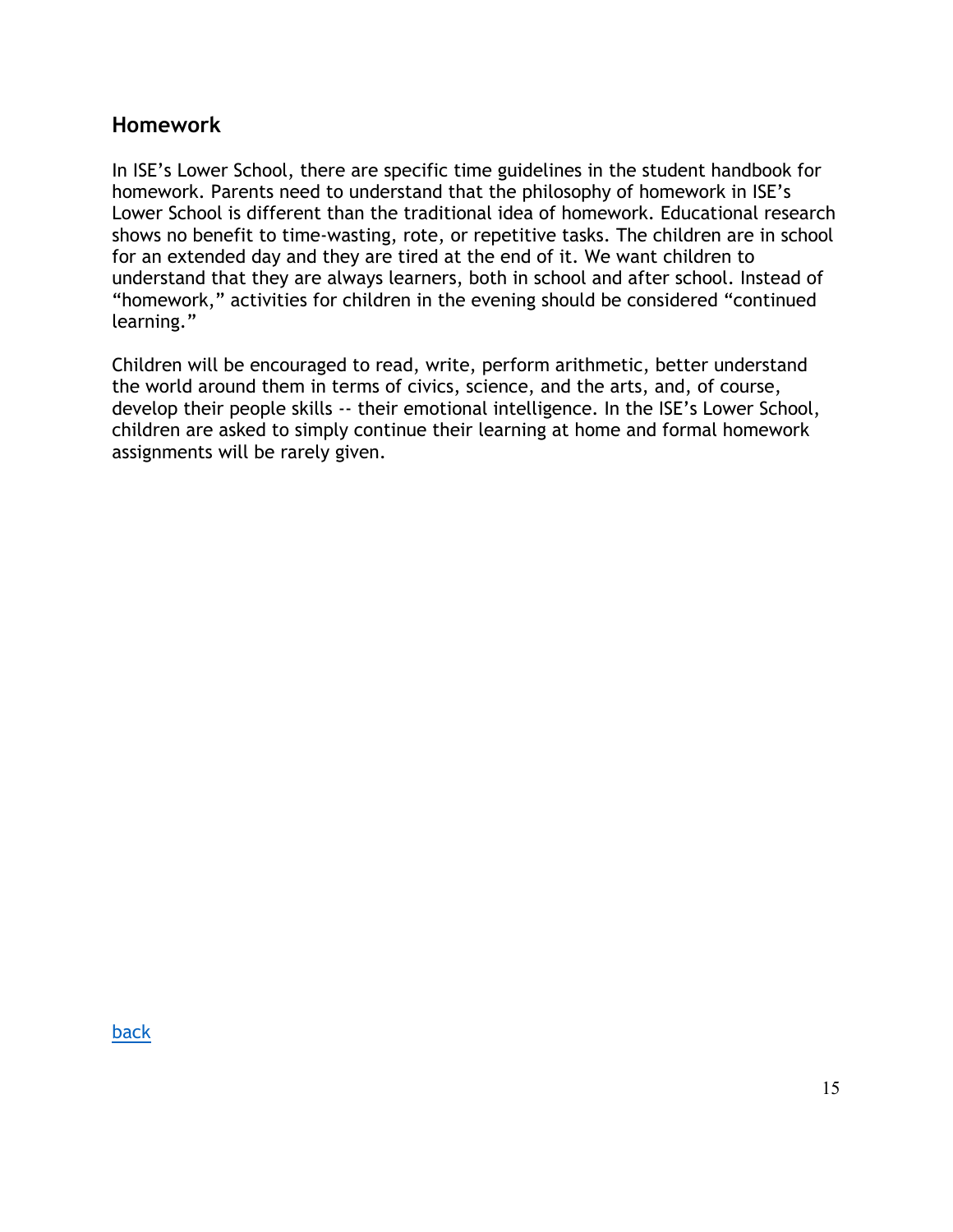#### **Homework**

In ISE's Lower School, there are specific time guidelines in the student handbook for homework. Parents need to understand that the philosophy of homework in ISE's Lower School is different than the traditional idea of homework. Educational research shows no benefit to time-wasting, rote, or repetitive tasks. The children are in school for an extended day and they are tired at the end of it. We want children to understand that they are always learners, both in school and after school. Instead of "homework," activities for children in the evening should be considered "continued learning."

Children will be encouraged to read, write, perform arithmetic, better understand the world around them in terms of civics, science, and the arts, and, of course, develop their people skills -- their emotional intelligence. In the ISE's Lower School, children are asked to simply continue their learning at home and formal homework assignments will be rarely given.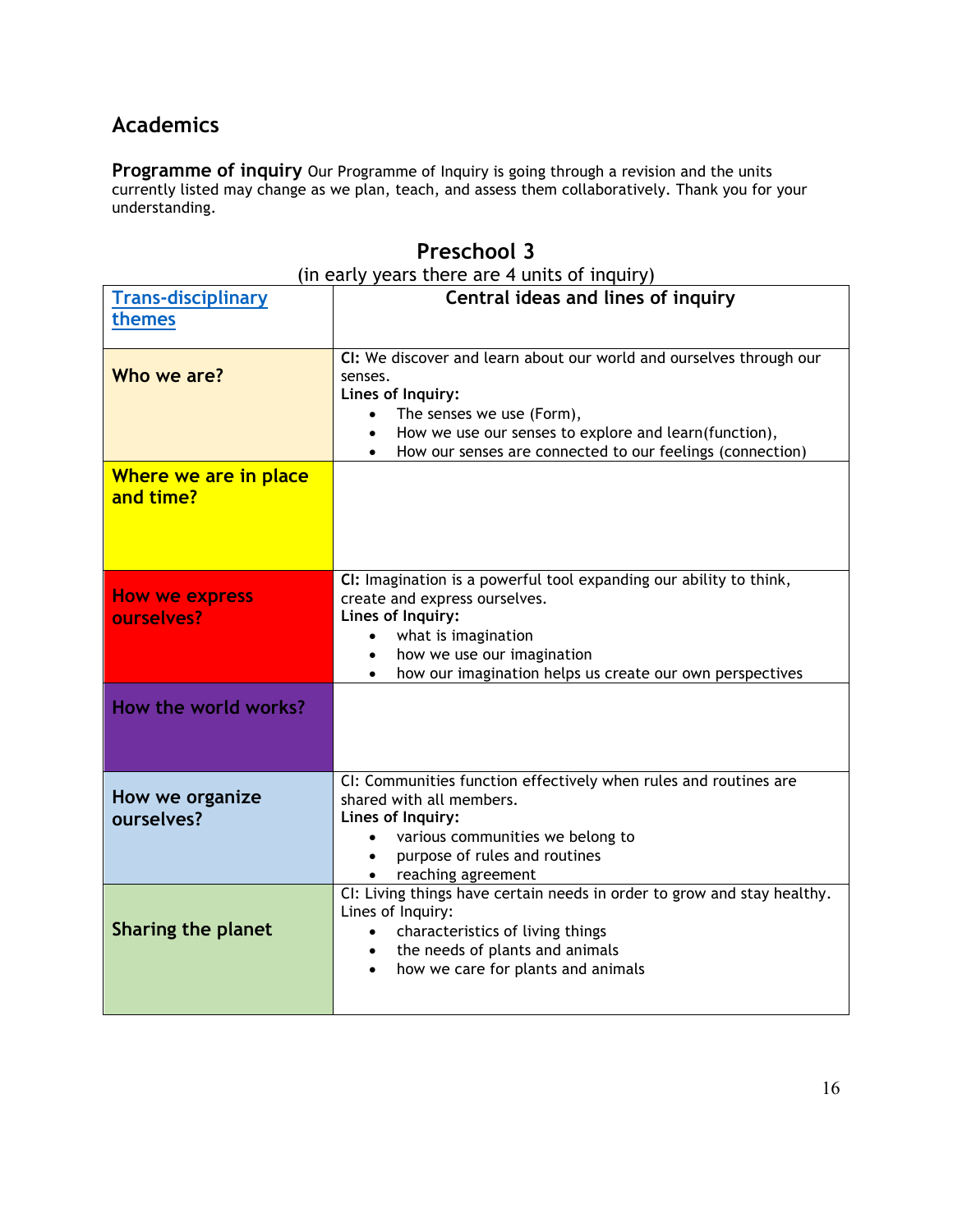#### **Academics**

**Programme of inquiry** Our Programme of Inquiry is going through a revision and the units currently listed may change as we plan, teach, and assess them collaboratively. Thank you for your understanding.

|                                     | (in early years there are 4 units of inquiry)                                                                                                                                                                                                                                    |
|-------------------------------------|----------------------------------------------------------------------------------------------------------------------------------------------------------------------------------------------------------------------------------------------------------------------------------|
| <b>Trans-disciplinary</b><br>themes | Central ideas and lines of inquiry                                                                                                                                                                                                                                               |
| Who we are?                         | CI: We discover and learn about our world and ourselves through our<br>senses.<br>Lines of Inquiry:<br>The senses we use (Form),<br>$\bullet$<br>How we use our senses to explore and learn(function),<br>How our senses are connected to our feelings (connection)<br>$\bullet$ |
| Where we are in place<br>and time?  |                                                                                                                                                                                                                                                                                  |
| <b>How we express</b><br>ourselves? | CI: Imagination is a powerful tool expanding our ability to think,<br>create and express ourselves.<br>Lines of Inquiry:<br>what is imagination<br>how we use our imagination<br>$\bullet$<br>how our imagination helps us create our own perspectives                           |
| How the world works?                |                                                                                                                                                                                                                                                                                  |
| How we organize<br>ourselves?       | CI: Communities function effectively when rules and routines are<br>shared with all members.<br>Lines of Inquiry:<br>various communities we belong to<br>purpose of rules and routines<br>reaching agreement                                                                     |
| Sharing the planet                  | CI: Living things have certain needs in order to grow and stay healthy.<br>Lines of Inquiry:<br>characteristics of living things<br>the needs of plants and animals<br>$\bullet$<br>how we care for plants and animals<br>$\bullet$                                              |

#### **Preschool 3** (in early years there are 4 units of inquiry)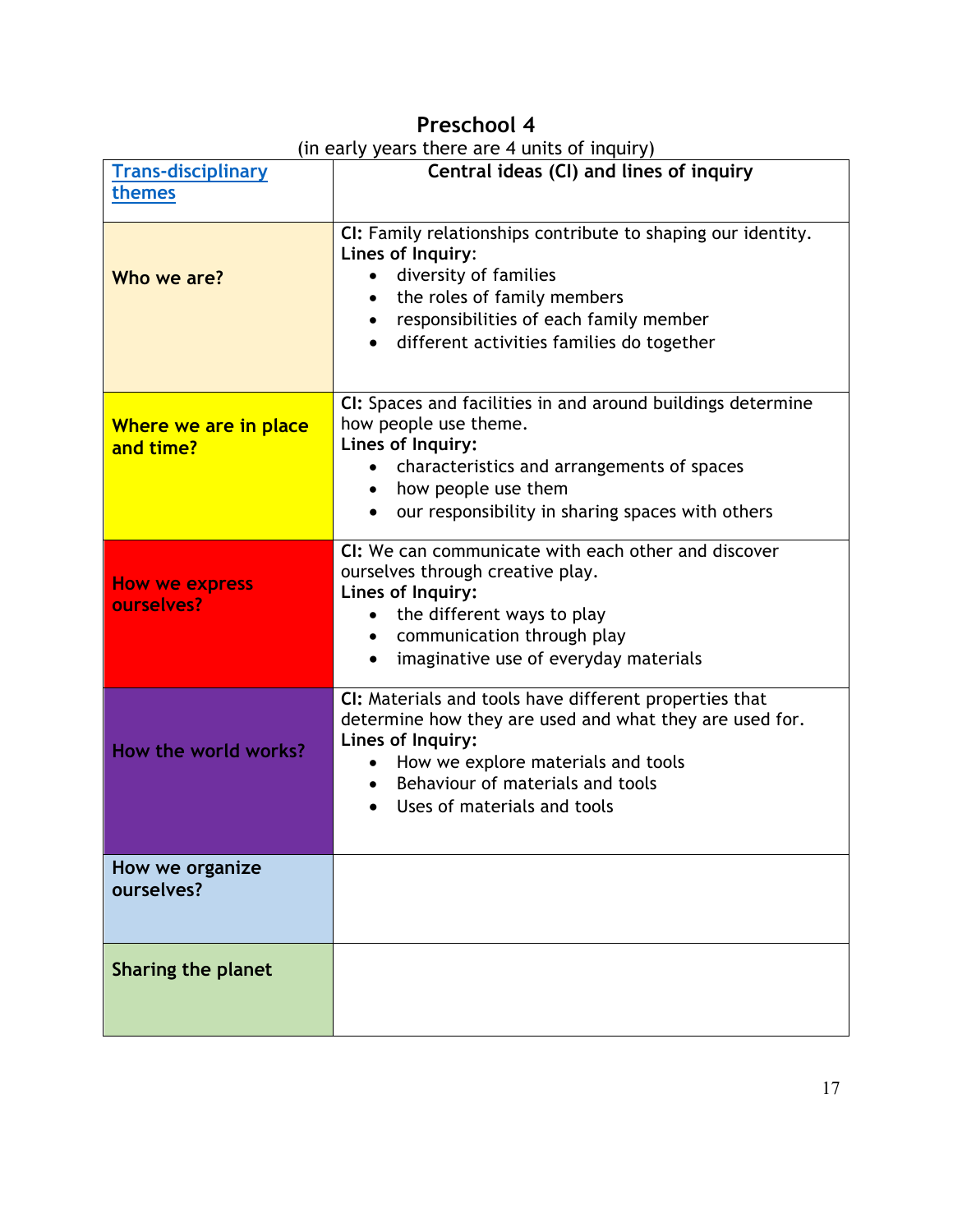|                                     | $\left( \text{iii}$ carry years there are 4 units of inquiry)                                                                                                                                                                                                |
|-------------------------------------|--------------------------------------------------------------------------------------------------------------------------------------------------------------------------------------------------------------------------------------------------------------|
| <b>Trans-disciplinary</b><br>themes | Central ideas (CI) and lines of inquiry                                                                                                                                                                                                                      |
| Who we are?                         | CI: Family relationships contribute to shaping our identity.<br>Lines of Inquiry:<br>diversity of families<br>the roles of family members<br>responsibilities of each family member<br>$\bullet$<br>different activities families do together<br>$\bullet$   |
| Where we are in place<br>and time?  | CI: Spaces and facilities in and around buildings determine<br>how people use theme.<br>Lines of Inquiry:<br>characteristics and arrangements of spaces<br>how people use them<br>$\bullet$<br>our responsibility in sharing spaces with others<br>$\bullet$ |
| <b>How we express</b><br>ourselves? | CI: We can communicate with each other and discover<br>ourselves through creative play.<br>Lines of Inquiry:<br>the different ways to play<br>$\bullet$<br>communication through play<br>$\bullet$<br>imaginative use of everyday materials<br>$\bullet$     |
| How the world works?                | CI: Materials and tools have different properties that<br>determine how they are used and what they are used for.<br>Lines of Inquiry:<br>How we explore materials and tools<br>$\bullet$<br>Behaviour of materials and tools<br>Uses of materials and tools |
| How we organize<br>ourselves?       |                                                                                                                                                                                                                                                              |
| <b>Sharing the planet</b>           |                                                                                                                                                                                                                                                              |

#### **Preschool 4** (in early years there are 4 units of inquiry)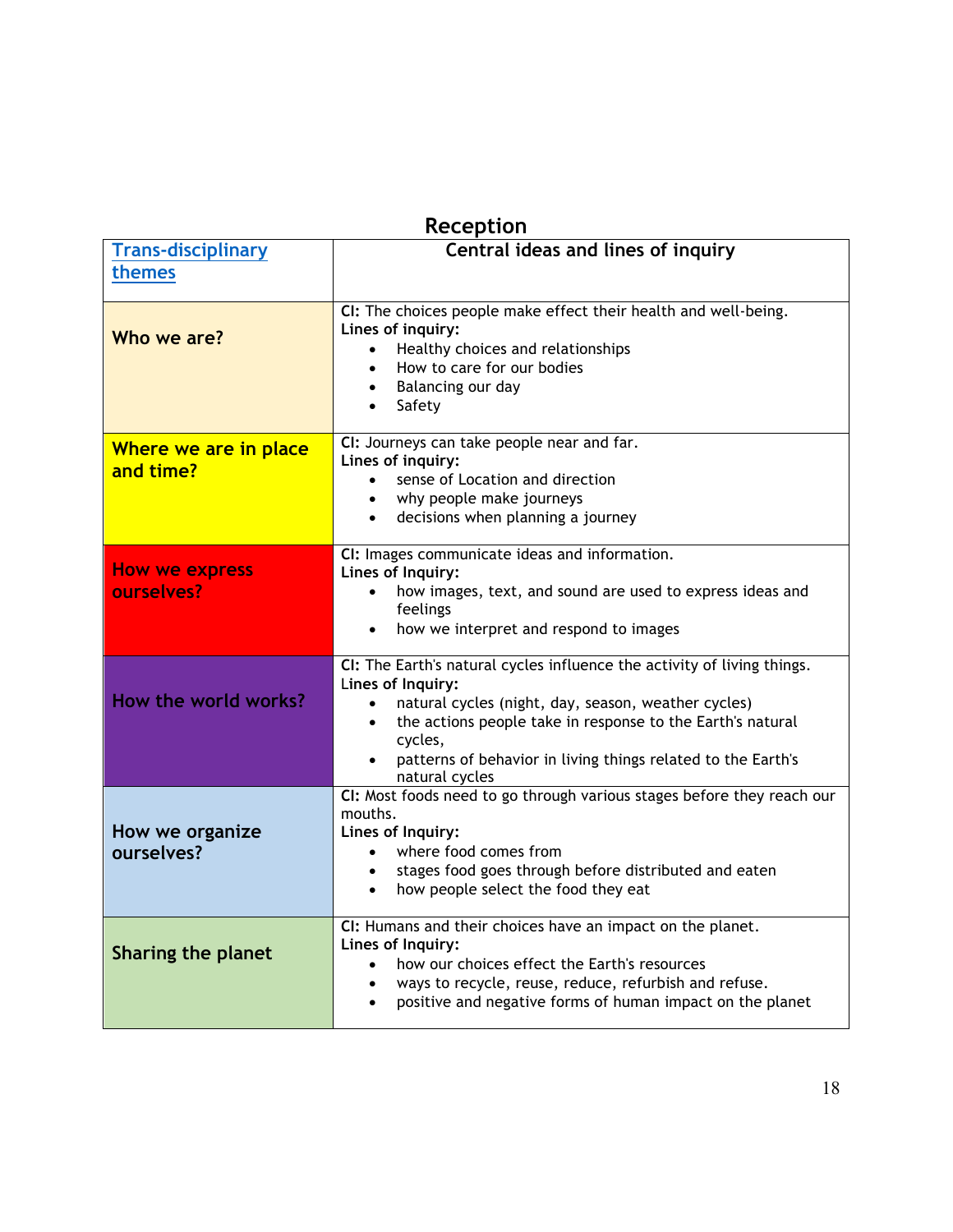| Reception                           |                                                                                                                                                                                                                                                                                                                             |  |
|-------------------------------------|-----------------------------------------------------------------------------------------------------------------------------------------------------------------------------------------------------------------------------------------------------------------------------------------------------------------------------|--|
| <b>Trans-disciplinary</b><br>themes | Central ideas and lines of inquiry                                                                                                                                                                                                                                                                                          |  |
| Who we are?                         | CI: The choices people make effect their health and well-being.<br>Lines of inquiry:<br>Healthy choices and relationships<br>How to care for our bodies<br>Balancing our day<br>$\bullet$<br>Safety<br>$\bullet$                                                                                                            |  |
| Where we are in place<br>and time?  | CI: Journeys can take people near and far.<br>Lines of inquiry:<br>sense of Location and direction<br>why people make journeys<br>decisions when planning a journey<br>$\bullet$                                                                                                                                            |  |
| <b>How we express</b><br>ourselves? | CI: Images communicate ideas and information.<br>Lines of Inquiry:<br>how images, text, and sound are used to express ideas and<br>feelings<br>how we interpret and respond to images                                                                                                                                       |  |
| How the world works?                | CI: The Earth's natural cycles influence the activity of living things.<br>Lines of Inquiry:<br>natural cycles (night, day, season, weather cycles)<br>the actions people take in response to the Earth's natural<br>$\bullet$<br>cycles,<br>patterns of behavior in living things related to the Earth's<br>natural cycles |  |
| How we organize<br>ourselves?       | CI: Most foods need to go through various stages before they reach our<br>mouths.<br>Lines of Inquiry:<br>where food comes from<br>stages food goes through before distributed and eaten<br>how people select the food they eat                                                                                             |  |
| <b>Sharing the planet</b>           | CI: Humans and their choices have an impact on the planet.<br>Lines of Inquiry:<br>how our choices effect the Earth's resources<br>$\bullet$<br>ways to recycle, reuse, reduce, refurbish and refuse.<br>$\bullet$<br>positive and negative forms of human impact on the planet<br>$\bullet$                                |  |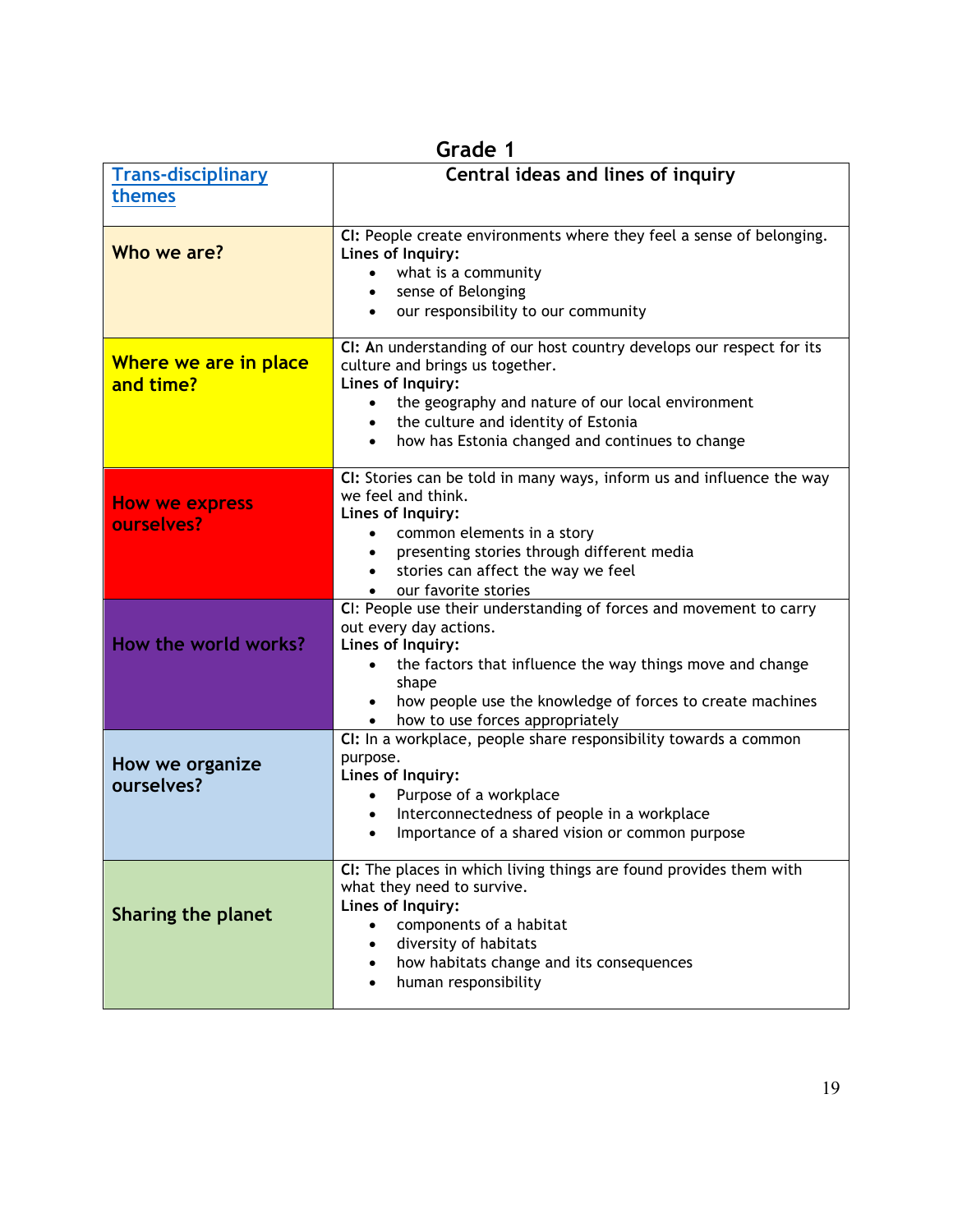| Grade 1                             |                                                                                                                                                                                                                                                                                                        |
|-------------------------------------|--------------------------------------------------------------------------------------------------------------------------------------------------------------------------------------------------------------------------------------------------------------------------------------------------------|
| <b>Trans-disciplinary</b>           | Central ideas and lines of inquiry                                                                                                                                                                                                                                                                     |
| themes                              |                                                                                                                                                                                                                                                                                                        |
| Who we are?                         | CI: People create environments where they feel a sense of belonging.<br>Lines of Inquiry:<br>what is a community<br>sense of Belonging<br>$\bullet$<br>our responsibility to our community                                                                                                             |
| Where we are in place<br>and time?  | CI: An understanding of our host country develops our respect for its<br>culture and brings us together.<br>Lines of Inquiry:<br>the geography and nature of our local environment<br>the culture and identity of Estonia<br>$\bullet$<br>how has Estonia changed and continues to change<br>$\bullet$ |
| <b>How we express</b><br>ourselves? | CI: Stories can be told in many ways, inform us and influence the way<br>we feel and think.<br>Lines of Inquiry:<br>common elements in a story<br>presenting stories through different media<br>$\bullet$<br>stories can affect the way we feel<br>$\bullet$<br>our favorite stories                   |
| How the world works?                | CI: People use their understanding of forces and movement to carry<br>out every day actions.<br>Lines of Inquiry:<br>the factors that influence the way things move and change<br>shape<br>how people use the knowledge of forces to create machines<br>$\bullet$<br>how to use forces appropriately   |
| How we organize<br>ourselves?       | CI: In a workplace, people share responsibility towards a common<br>purpose.<br>Lines of Inquiry:<br>Purpose of a workplace<br>Interconnectedness of people in a workplace<br>Importance of a shared vision or common purpose                                                                          |
| <b>Sharing the planet</b>           | CI: The places in which living things are found provides them with<br>what they need to survive.<br>Lines of Inquiry:<br>components of a habitat<br>$\bullet$<br>diversity of habitats<br>$\bullet$<br>how habitats change and its consequences<br>$\bullet$<br>human responsibility<br>$\bullet$      |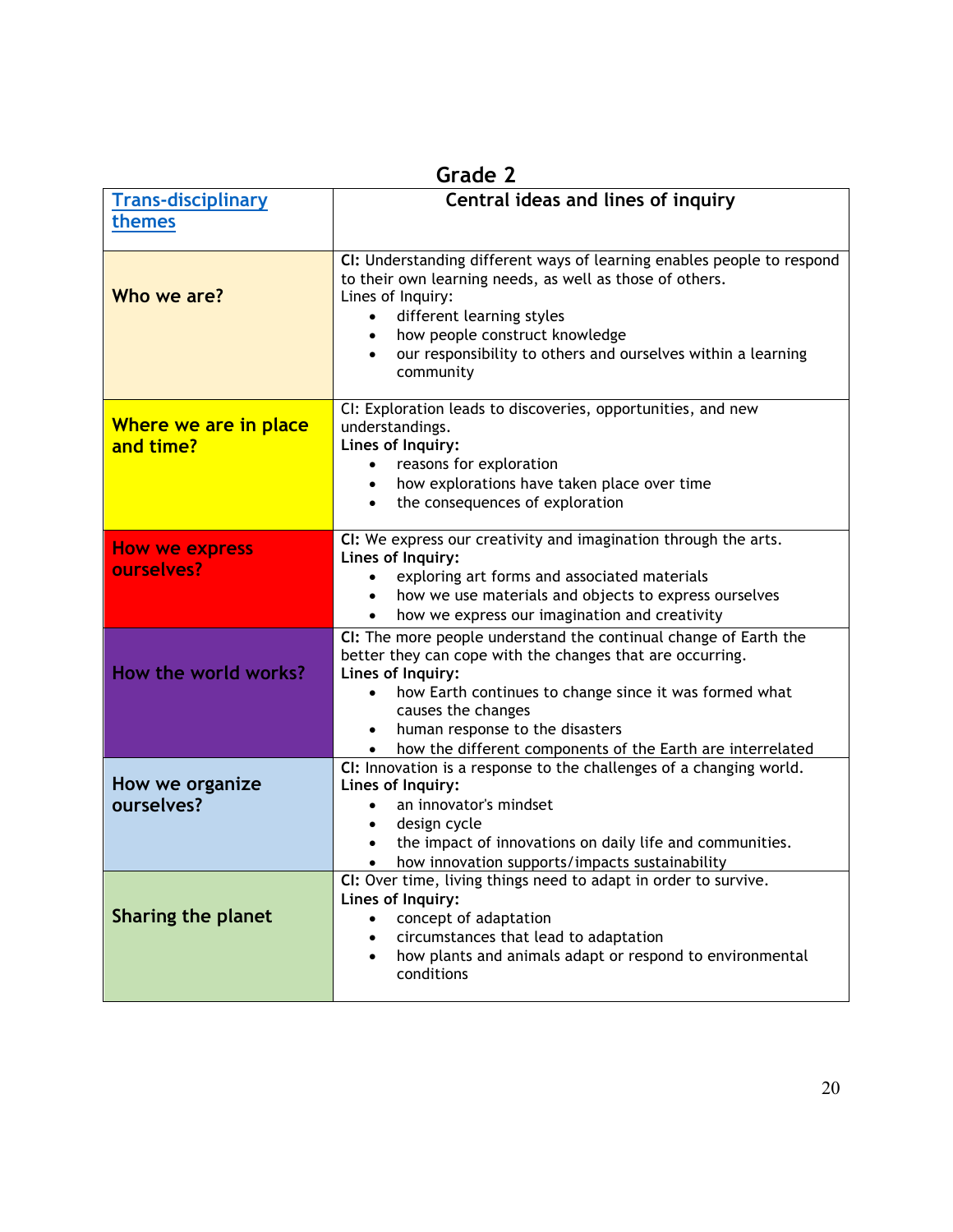| urage z                             |                                                                                                                                                                                                                                                                                                                                                               |  |
|-------------------------------------|---------------------------------------------------------------------------------------------------------------------------------------------------------------------------------------------------------------------------------------------------------------------------------------------------------------------------------------------------------------|--|
| <b>Trans-disciplinary</b><br>themes | Central ideas and lines of inquiry                                                                                                                                                                                                                                                                                                                            |  |
| Who we are?                         | CI: Understanding different ways of learning enables people to respond<br>to their own learning needs, as well as those of others.<br>Lines of Inquiry:<br>different learning styles<br>how people construct knowledge<br>our responsibility to others and ourselves within a learning<br>$\bullet$<br>community                                              |  |
| Where we are in place<br>and time?  | CI: Exploration leads to discoveries, opportunities, and new<br>understandings.<br>Lines of Inquiry:<br>reasons for exploration<br>how explorations have taken place over time<br>the consequences of exploration                                                                                                                                             |  |
| <b>How we express</b><br>ourselves? | CI: We express our creativity and imagination through the arts.<br>Lines of Inquiry:<br>exploring art forms and associated materials<br>how we use materials and objects to express ourselves<br>how we express our imagination and creativity                                                                                                                |  |
| How the world works?                | CI: The more people understand the continual change of Earth the<br>better they can cope with the changes that are occurring.<br>Lines of Inquiry:<br>how Earth continues to change since it was formed what<br>$\bullet$<br>causes the changes<br>human response to the disasters<br>$\bullet$<br>how the different components of the Earth are interrelated |  |
| How we organize<br>ourselves?       | CI: Innovation is a response to the challenges of a changing world.<br>Lines of Inquiry:<br>an innovator's mindset<br>$\bullet$<br>design cycle<br>$\bullet$<br>the impact of innovations on daily life and communities.<br>$\bullet$<br>how innovation supports/impacts sustainability<br>$\bullet$                                                          |  |
| <b>Sharing the planet</b>           | CI: Over time, living things need to adapt in order to survive.<br>Lines of Inquiry:<br>concept of adaptation<br>circumstances that lead to adaptation<br>$\bullet$<br>how plants and animals adapt or respond to environmental<br>$\bullet$<br>conditions                                                                                                    |  |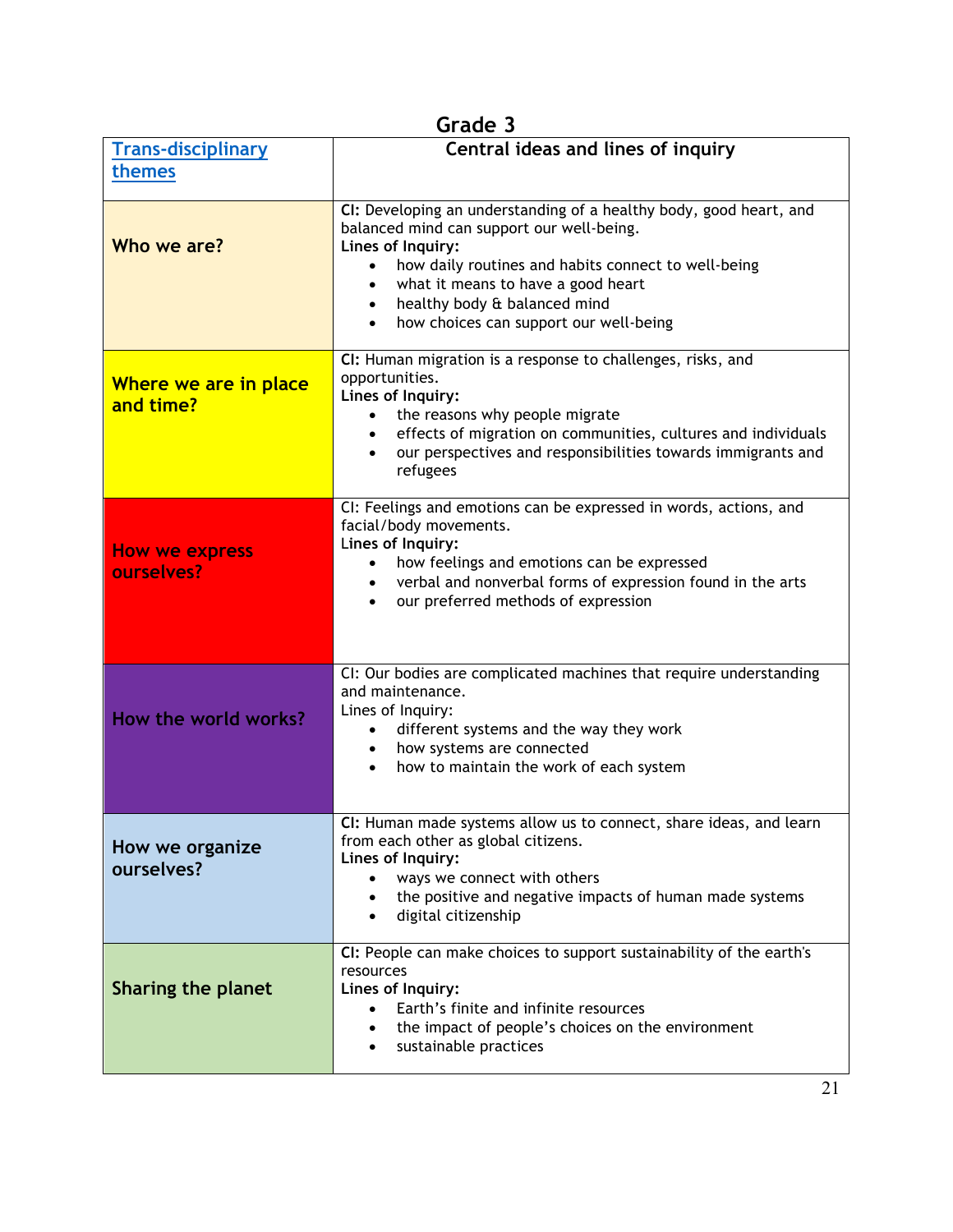#### **Grade 3**

| <b>Trans-disciplinary</b><br>themes | Central ideas and lines of inquiry                                                                                                                                                                                                                                                                                       |
|-------------------------------------|--------------------------------------------------------------------------------------------------------------------------------------------------------------------------------------------------------------------------------------------------------------------------------------------------------------------------|
| Who we are?                         | CI: Developing an understanding of a healthy body, good heart, and<br>balanced mind can support our well-being.<br>Lines of Inquiry:<br>how daily routines and habits connect to well-being<br>what it means to have a good heart<br>healthy body & balanced mind<br>how choices can support our well-being<br>$\bullet$ |
| Where we are in place<br>and time?  | CI: Human migration is a response to challenges, risks, and<br>opportunities.<br>Lines of Inquiry:<br>the reasons why people migrate<br>effects of migration on communities, cultures and individuals<br>our perspectives and responsibilities towards immigrants and<br>refugees                                        |
| <b>How we express</b><br>ourselves? | CI: Feelings and emotions can be expressed in words, actions, and<br>facial/body movements.<br>Lines of Inquiry:<br>how feelings and emotions can be expressed<br>verbal and nonverbal forms of expression found in the arts<br>$\bullet$<br>our preferred methods of expression<br>$\bullet$                            |
| How the world works?                | CI: Our bodies are complicated machines that require understanding<br>and maintenance.<br>Lines of Inquiry:<br>different systems and the way they work<br>$\bullet$<br>how systems are connected<br>$\bullet$<br>how to maintain the work of each system<br>$\bullet$                                                    |
| How we organize<br>ourselves?       | CI: Human made systems allow us to connect, share ideas, and learn<br>from each other as global citizens.<br>Lines of Inquiry:<br>ways we connect with others<br>the positive and negative impacts of human made systems<br>$\bullet$<br>digital citizenship<br>$\bullet$                                                |
| <b>Sharing the planet</b>           | CI: People can make choices to support sustainability of the earth's<br>resources<br>Lines of Inquiry:<br>Earth's finite and infinite resources<br>the impact of people's choices on the environment<br>$\bullet$<br>sustainable practices<br>$\bullet$                                                                  |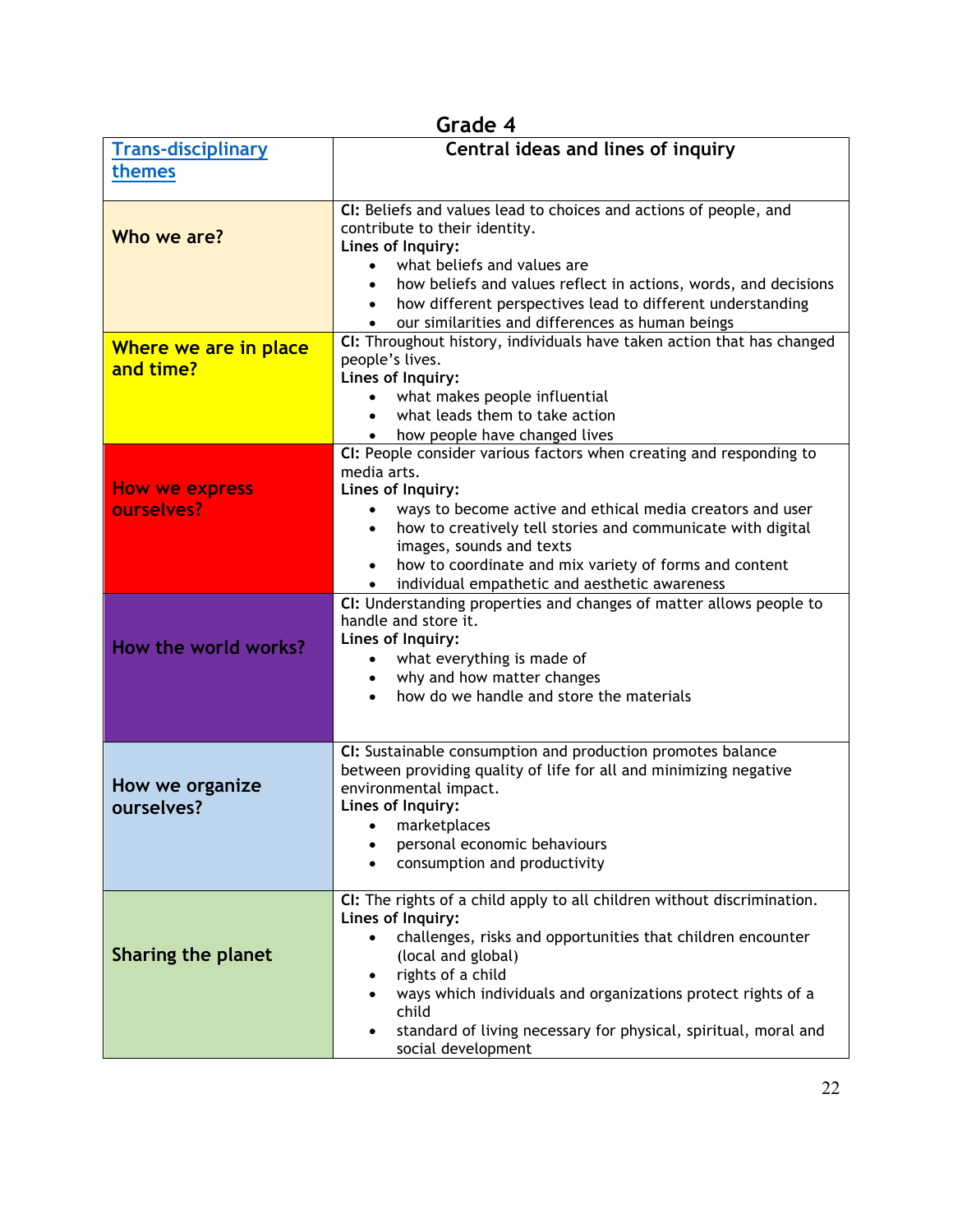#### **Grade 4**

| <b>Trans-disciplinary</b>           | Central ideas and lines of inquiry                                                                                                                                                                                                                                                                                                                                                                   |
|-------------------------------------|------------------------------------------------------------------------------------------------------------------------------------------------------------------------------------------------------------------------------------------------------------------------------------------------------------------------------------------------------------------------------------------------------|
| themes                              |                                                                                                                                                                                                                                                                                                                                                                                                      |
| Who we are?                         | CI: Beliefs and values lead to choices and actions of people, and<br>contribute to their identity.<br>Lines of Inquiry:<br>what beliefs and values are<br>how beliefs and values reflect in actions, words, and decisions<br>how different perspectives lead to different understanding<br>our similarities and differences as human beings                                                          |
| Where we are in place<br>and time?  | CI: Throughout history, individuals have taken action that has changed<br>people's lives.<br>Lines of Inquiry:<br>what makes people influential<br>what leads them to take action<br>how people have changed lives<br>$\bullet$                                                                                                                                                                      |
| <b>How we express</b><br>ourselves? | CI: People consider various factors when creating and responding to<br>media arts.<br>Lines of Inquiry:<br>ways to become active and ethical media creators and user<br>how to creatively tell stories and communicate with digital<br>$\bullet$<br>images, sounds and texts<br>how to coordinate and mix variety of forms and content<br>$\bullet$<br>individual empathetic and aesthetic awareness |
| How the world works?                | CI: Understanding properties and changes of matter allows people to<br>handle and store it.<br>Lines of Inquiry:<br>what everything is made of<br>٠<br>why and how matter changes<br>how do we handle and store the materials                                                                                                                                                                        |
| How we organize<br>ourselves?       | CI: Sustainable consumption and production promotes balance<br>between providing quality of life for all and minimizing negative<br>environmental impact.<br>Lines of Inquiry:<br>marketplaces<br>$\bullet$<br>personal economic behaviours<br>consumption and productivity                                                                                                                          |
| <b>Sharing the planet</b>           | CI: The rights of a child apply to all children without discrimination.<br>Lines of Inquiry:<br>challenges, risks and opportunities that children encounter<br>(local and global)<br>rights of a child<br>ways which individuals and organizations protect rights of a<br>child<br>standard of living necessary for physical, spiritual, moral and<br>social development                             |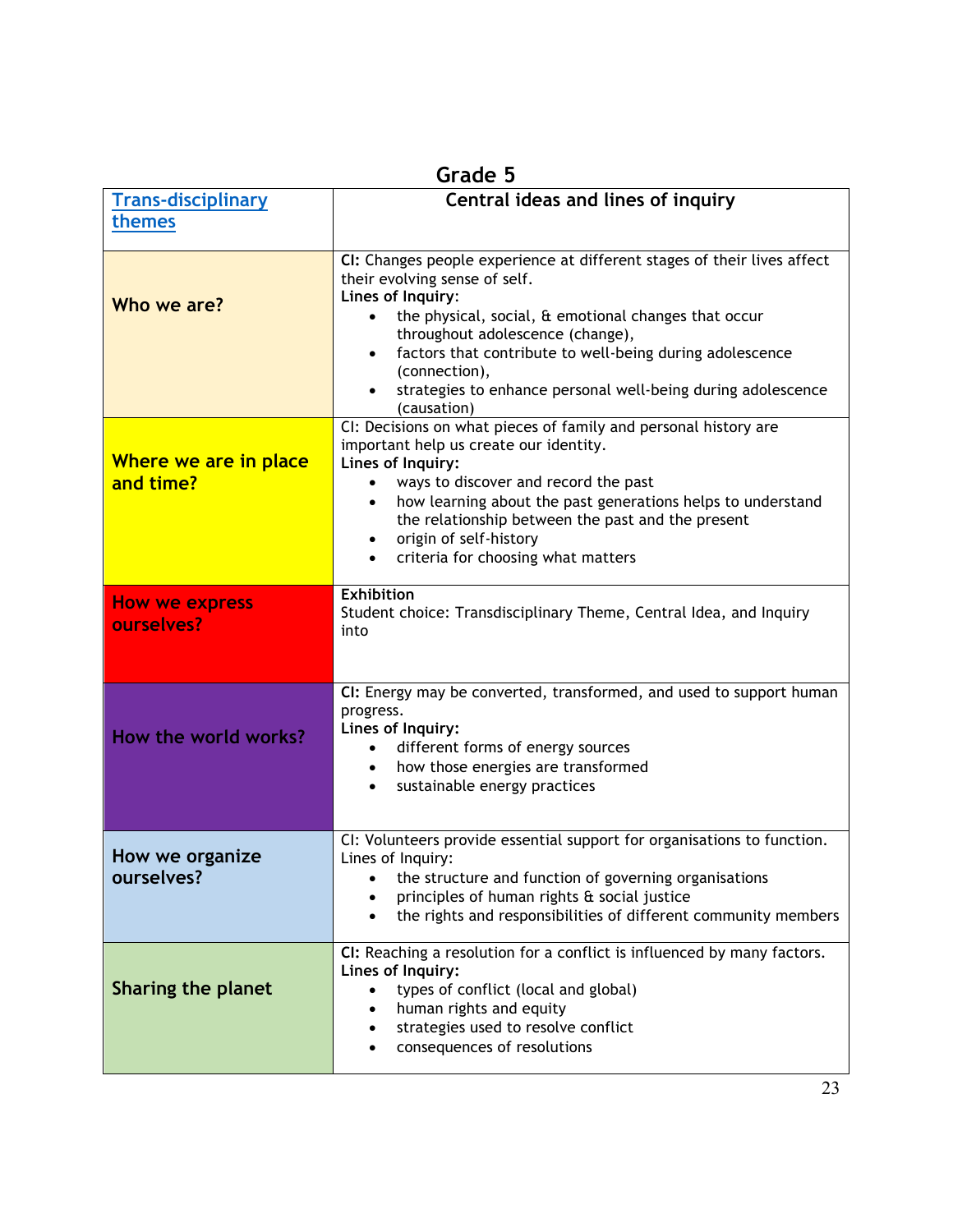| Grade 5                             |                                                                                                                                                                                                                                                                                                                                                                                                                 |  |
|-------------------------------------|-----------------------------------------------------------------------------------------------------------------------------------------------------------------------------------------------------------------------------------------------------------------------------------------------------------------------------------------------------------------------------------------------------------------|--|
| <b>Trans-disciplinary</b><br>themes | Central ideas and lines of inquiry                                                                                                                                                                                                                                                                                                                                                                              |  |
| Who we are?                         | CI: Changes people experience at different stages of their lives affect<br>their evolving sense of self.<br>Lines of Inquiry:<br>the physical, social, & emotional changes that occur<br>throughout adolescence (change),<br>factors that contribute to well-being during adolescence<br>$\bullet$<br>(connection),<br>strategies to enhance personal well-being during adolescence<br>$\bullet$<br>(causation) |  |
| Where we are in place<br>and time?  | CI: Decisions on what pieces of family and personal history are<br>important help us create our identity.<br>Lines of Inquiry:<br>ways to discover and record the past<br>how learning about the past generations helps to understand<br>$\bullet$<br>the relationship between the past and the present<br>origin of self-history<br>$\bullet$<br>criteria for choosing what matters                            |  |
| <b>How we express</b><br>ourselves? | <b>Exhibition</b><br>Student choice: Transdisciplinary Theme, Central Idea, and Inquiry<br>into                                                                                                                                                                                                                                                                                                                 |  |
| How the world works?                | CI: Energy may be converted, transformed, and used to support human<br>progress.<br>Lines of Inquiry:<br>different forms of energy sources<br>$\bullet$<br>how those energies are transformed<br>$\bullet$<br>sustainable energy practices<br>$\bullet$                                                                                                                                                         |  |
| How we organize<br>ourselves?       | CI: Volunteers provide essential support for organisations to function.<br>Lines of Inquiry:<br>the structure and function of governing organisations<br>$\bullet$<br>principles of human rights & social justice<br>the rights and responsibilities of different community members<br>$\bullet$                                                                                                                |  |
| <b>Sharing the planet</b>           | CI: Reaching a resolution for a conflict is influenced by many factors.<br>Lines of Inquiry:<br>types of conflict (local and global)<br>human rights and equity<br>$\bullet$<br>strategies used to resolve conflict<br>$\bullet$<br>consequences of resolutions<br>$\bullet$                                                                                                                                    |  |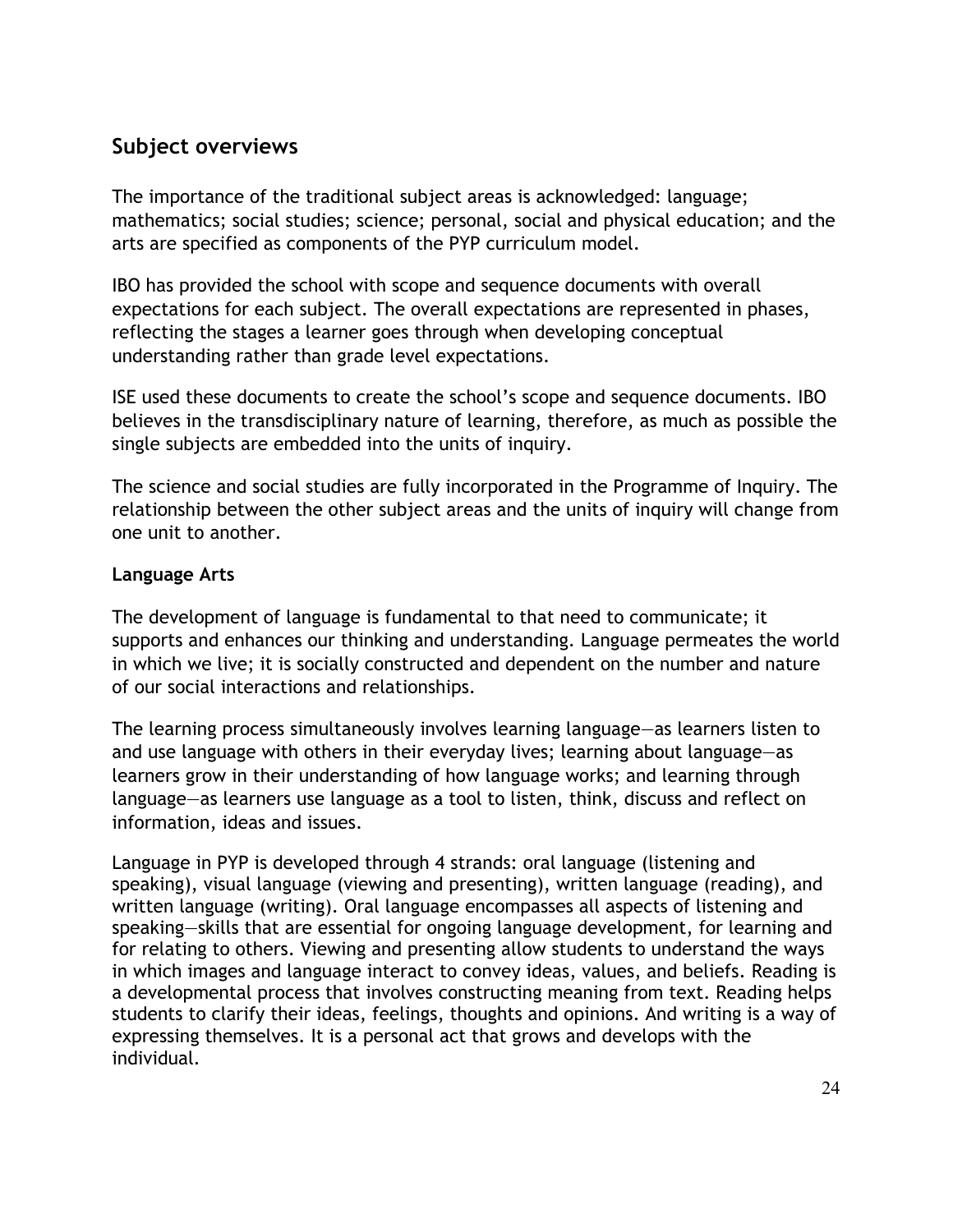#### **Subject overviews**

The importance of the traditional subject areas is acknowledged: language; mathematics; social studies; science; personal, social and physical education; and the arts are specified as components of the PYP curriculum model.

IBO has provided the school with scope and sequence documents with overall expectations for each subject. The overall expectations are represented in phases, reflecting the stages a learner goes through when developing conceptual understanding rather than grade level expectations.

ISE used these documents to create the school's scope and sequence documents. IBO believes in the transdisciplinary nature of learning, therefore, as much as possible the single subjects are embedded into the units of inquiry.

The science and social studies are fully incorporated in the Programme of Inquiry. The relationship between the other subject areas and the units of inquiry will change from one unit to another.

#### **Language Arts**

The development of language is fundamental to that need to communicate; it supports and enhances our thinking and understanding. Language permeates the world in which we live; it is socially constructed and dependent on the number and nature of our social interactions and relationships.

The learning process simultaneously involves learning language—as learners listen to and use language with others in their everyday lives; learning about language—as learners grow in their understanding of how language works; and learning through language—as learners use language as a tool to listen, think, discuss and reflect on information, ideas and issues.

Language in PYP is developed through 4 strands: oral language (listening and speaking), visual language (viewing and presenting), written language (reading), and written language (writing). Oral language encompasses all aspects of listening and speaking—skills that are essential for ongoing language development, for learning and for relating to others. Viewing and presenting allow students to understand the ways in which images and language interact to convey ideas, values, and beliefs. Reading is a developmental process that involves constructing meaning from text. Reading helps students to clarify their ideas, feelings, thoughts and opinions. And writing is a way of expressing themselves. It is a personal act that grows and develops with the individual.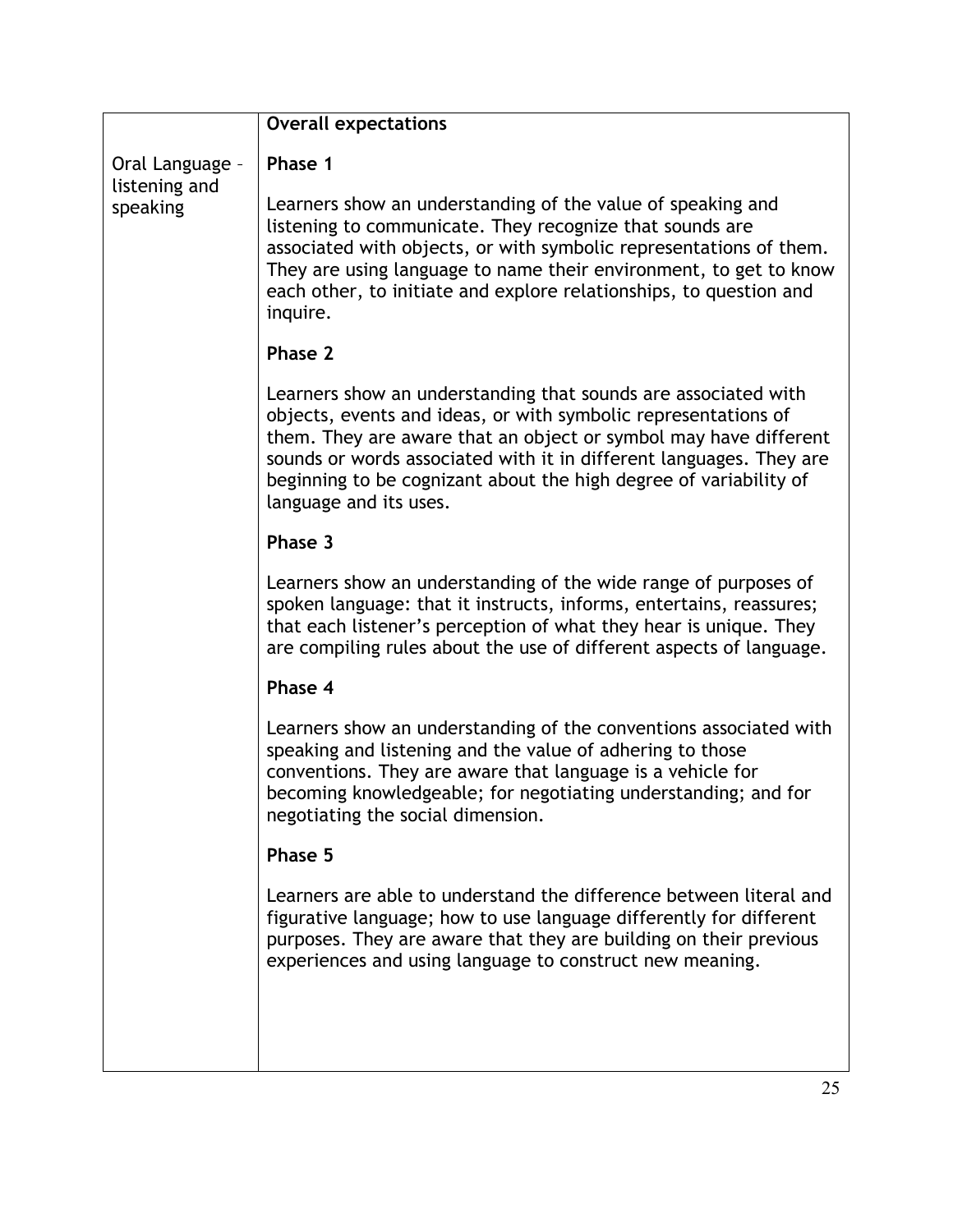|                                              | <b>Overall expectations</b>                                                                                                                                                                                                                                                                                                                                                |
|----------------------------------------------|----------------------------------------------------------------------------------------------------------------------------------------------------------------------------------------------------------------------------------------------------------------------------------------------------------------------------------------------------------------------------|
|                                              | Phase 1                                                                                                                                                                                                                                                                                                                                                                    |
| Oral Language -<br>listening and<br>speaking |                                                                                                                                                                                                                                                                                                                                                                            |
|                                              | Learners show an understanding of the value of speaking and<br>listening to communicate. They recognize that sounds are<br>associated with objects, or with symbolic representations of them.<br>They are using language to name their environment, to get to know<br>each other, to initiate and explore relationships, to question and<br>inquire.                       |
|                                              | Phase 2                                                                                                                                                                                                                                                                                                                                                                    |
|                                              | Learners show an understanding that sounds are associated with<br>objects, events and ideas, or with symbolic representations of<br>them. They are aware that an object or symbol may have different<br>sounds or words associated with it in different languages. They are<br>beginning to be cognizant about the high degree of variability of<br>language and its uses. |
|                                              | Phase 3                                                                                                                                                                                                                                                                                                                                                                    |
|                                              | Learners show an understanding of the wide range of purposes of<br>spoken language: that it instructs, informs, entertains, reassures;<br>that each listener's perception of what they hear is unique. They<br>are compiling rules about the use of different aspects of language.                                                                                         |
|                                              | Phase 4                                                                                                                                                                                                                                                                                                                                                                    |
|                                              | Learners show an understanding of the conventions associated with<br>speaking and listening and the value of adhering to those<br>conventions. They are aware that language is a vehicle for<br>becoming knowledgeable; for negotiating understanding; and for<br>negotiating the social dimension.                                                                        |
|                                              | Phase 5                                                                                                                                                                                                                                                                                                                                                                    |
|                                              | Learners are able to understand the difference between literal and<br>figurative language; how to use language differently for different<br>purposes. They are aware that they are building on their previous<br>experiences and using language to construct new meaning.                                                                                                  |
|                                              |                                                                                                                                                                                                                                                                                                                                                                            |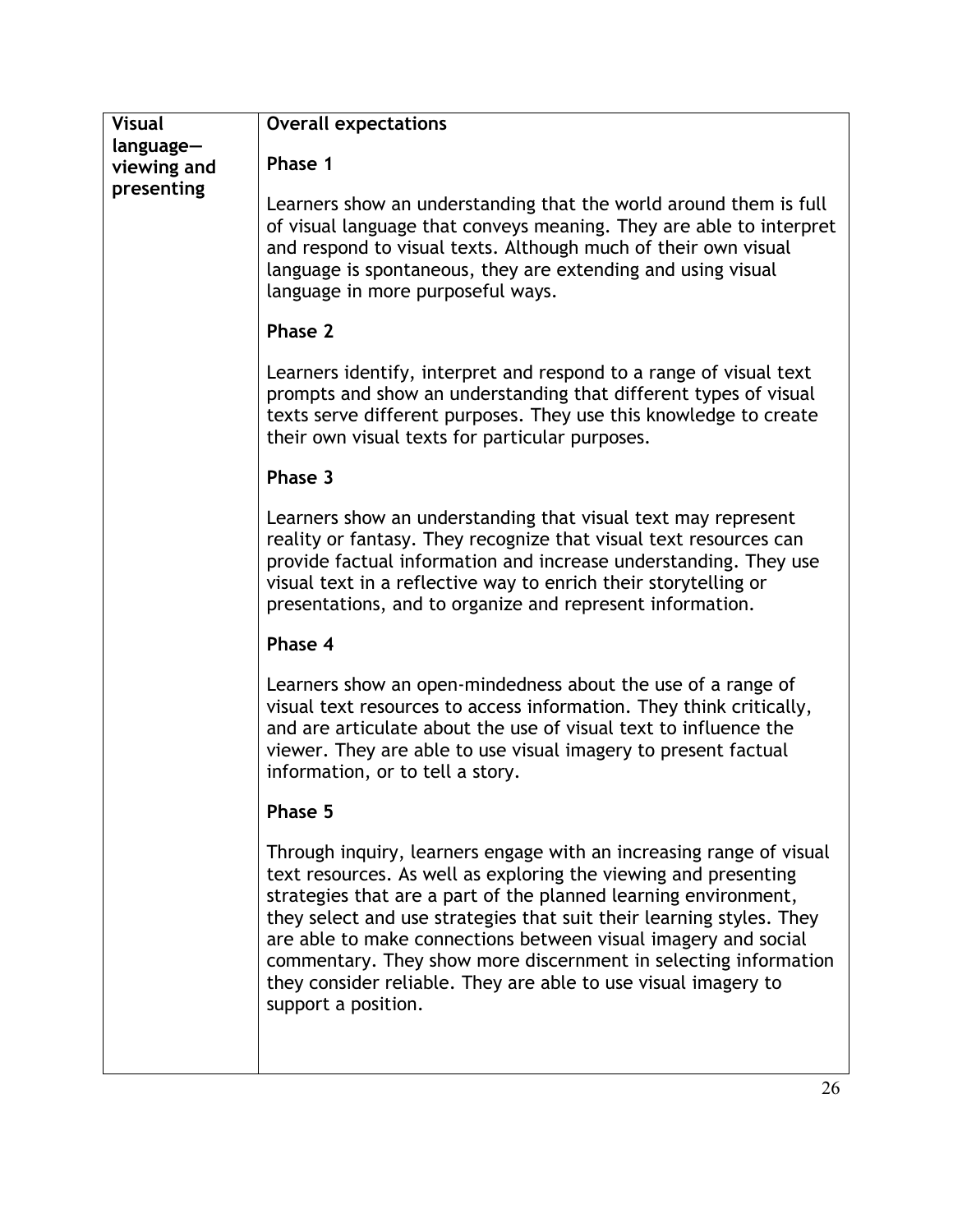| <b>Visual</b><br>language-<br>viewing and<br>presenting | <b>Overall expectations</b><br>Phase 1                                                                                                                                                                                                                                                                                                                                                                                                                                                                          |
|---------------------------------------------------------|-----------------------------------------------------------------------------------------------------------------------------------------------------------------------------------------------------------------------------------------------------------------------------------------------------------------------------------------------------------------------------------------------------------------------------------------------------------------------------------------------------------------|
|                                                         | Learners show an understanding that the world around them is full<br>of visual language that conveys meaning. They are able to interpret<br>and respond to visual texts. Although much of their own visual<br>language is spontaneous, they are extending and using visual<br>language in more purposeful ways.                                                                                                                                                                                                 |
|                                                         | Phase 2                                                                                                                                                                                                                                                                                                                                                                                                                                                                                                         |
|                                                         | Learners identify, interpret and respond to a range of visual text<br>prompts and show an understanding that different types of visual<br>texts serve different purposes. They use this knowledge to create<br>their own visual texts for particular purposes.                                                                                                                                                                                                                                                  |
|                                                         | Phase 3                                                                                                                                                                                                                                                                                                                                                                                                                                                                                                         |
|                                                         | Learners show an understanding that visual text may represent<br>reality or fantasy. They recognize that visual text resources can<br>provide factual information and increase understanding. They use<br>visual text in a reflective way to enrich their storytelling or<br>presentations, and to organize and represent information.                                                                                                                                                                          |
|                                                         | Phase 4                                                                                                                                                                                                                                                                                                                                                                                                                                                                                                         |
|                                                         | Learners show an open-mindedness about the use of a range of<br>visual text resources to access information. They think critically,<br>and are articulate about the use of visual text to influence the<br>viewer. They are able to use visual imagery to present factual<br>information, or to tell a story.                                                                                                                                                                                                   |
|                                                         | Phase 5                                                                                                                                                                                                                                                                                                                                                                                                                                                                                                         |
|                                                         | Through inquiry, learners engage with an increasing range of visual<br>text resources. As well as exploring the viewing and presenting<br>strategies that are a part of the planned learning environment,<br>they select and use strategies that suit their learning styles. They<br>are able to make connections between visual imagery and social<br>commentary. They show more discernment in selecting information<br>they consider reliable. They are able to use visual imagery to<br>support a position. |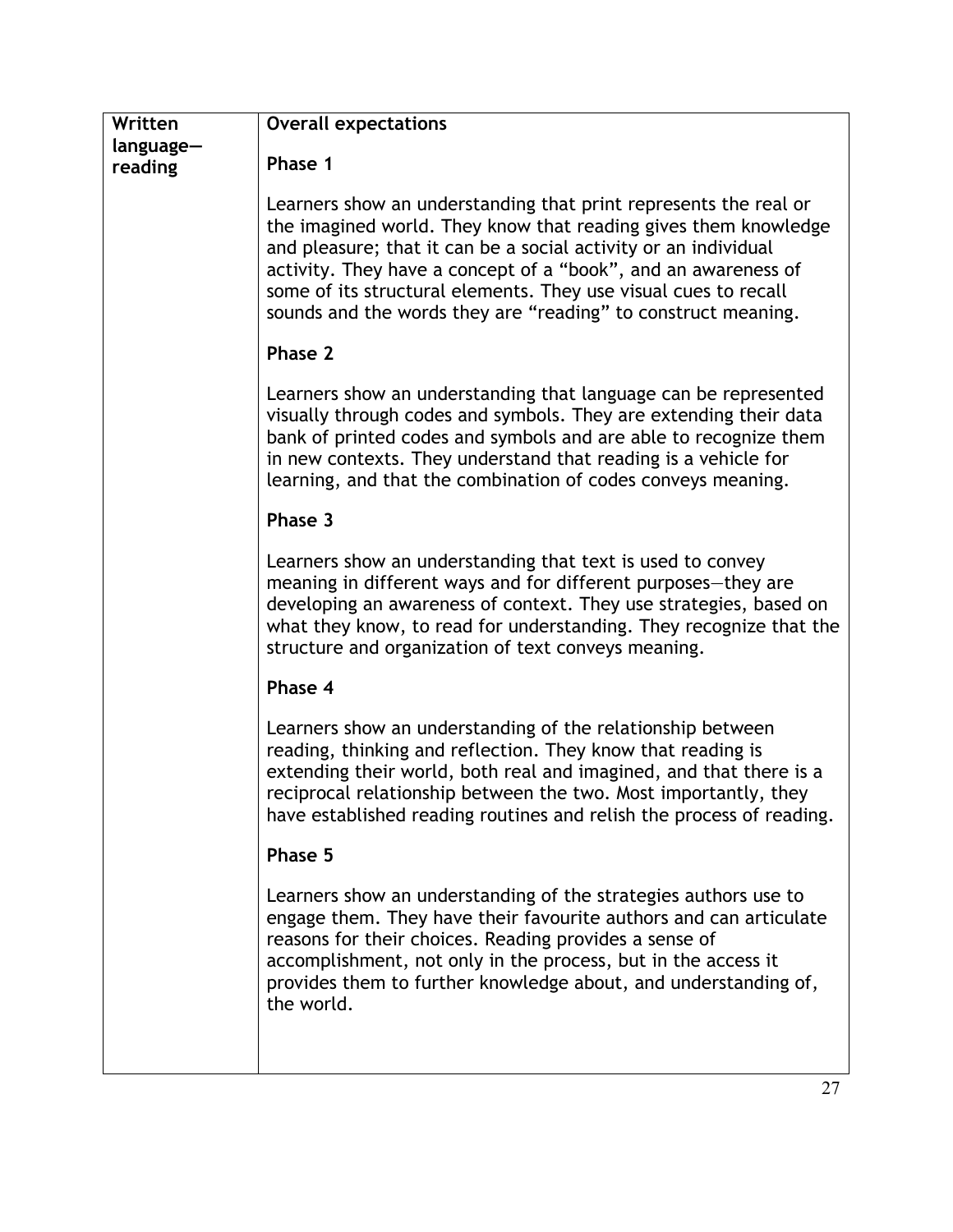| Written              | <b>Overall expectations</b>                                                                                                                                                                                                                                                                                                                                                                                  |
|----------------------|--------------------------------------------------------------------------------------------------------------------------------------------------------------------------------------------------------------------------------------------------------------------------------------------------------------------------------------------------------------------------------------------------------------|
| language-<br>reading | Phase 1                                                                                                                                                                                                                                                                                                                                                                                                      |
|                      | Learners show an understanding that print represents the real or<br>the imagined world. They know that reading gives them knowledge<br>and pleasure; that it can be a social activity or an individual<br>activity. They have a concept of a "book", and an awareness of<br>some of its structural elements. They use visual cues to recall<br>sounds and the words they are "reading" to construct meaning. |
|                      | Phase 2                                                                                                                                                                                                                                                                                                                                                                                                      |
|                      | Learners show an understanding that language can be represented<br>visually through codes and symbols. They are extending their data<br>bank of printed codes and symbols and are able to recognize them<br>in new contexts. They understand that reading is a vehicle for<br>learning, and that the combination of codes conveys meaning.                                                                   |
|                      | Phase 3                                                                                                                                                                                                                                                                                                                                                                                                      |
|                      | Learners show an understanding that text is used to convey<br>meaning in different ways and for different purposes-they are<br>developing an awareness of context. They use strategies, based on<br>what they know, to read for understanding. They recognize that the<br>structure and organization of text conveys meaning.                                                                                |
|                      | Phase 4                                                                                                                                                                                                                                                                                                                                                                                                      |
|                      | Learners show an understanding of the relationship between<br>reading, thinking and reflection. They know that reading is<br>extending their world, both real and imagined, and that there is a<br>reciprocal relationship between the two. Most importantly, they<br>have established reading routines and relish the process of reading.                                                                   |
|                      | Phase 5                                                                                                                                                                                                                                                                                                                                                                                                      |
|                      | Learners show an understanding of the strategies authors use to<br>engage them. They have their favourite authors and can articulate<br>reasons for their choices. Reading provides a sense of<br>accomplishment, not only in the process, but in the access it<br>provides them to further knowledge about, and understanding of,<br>the world.                                                             |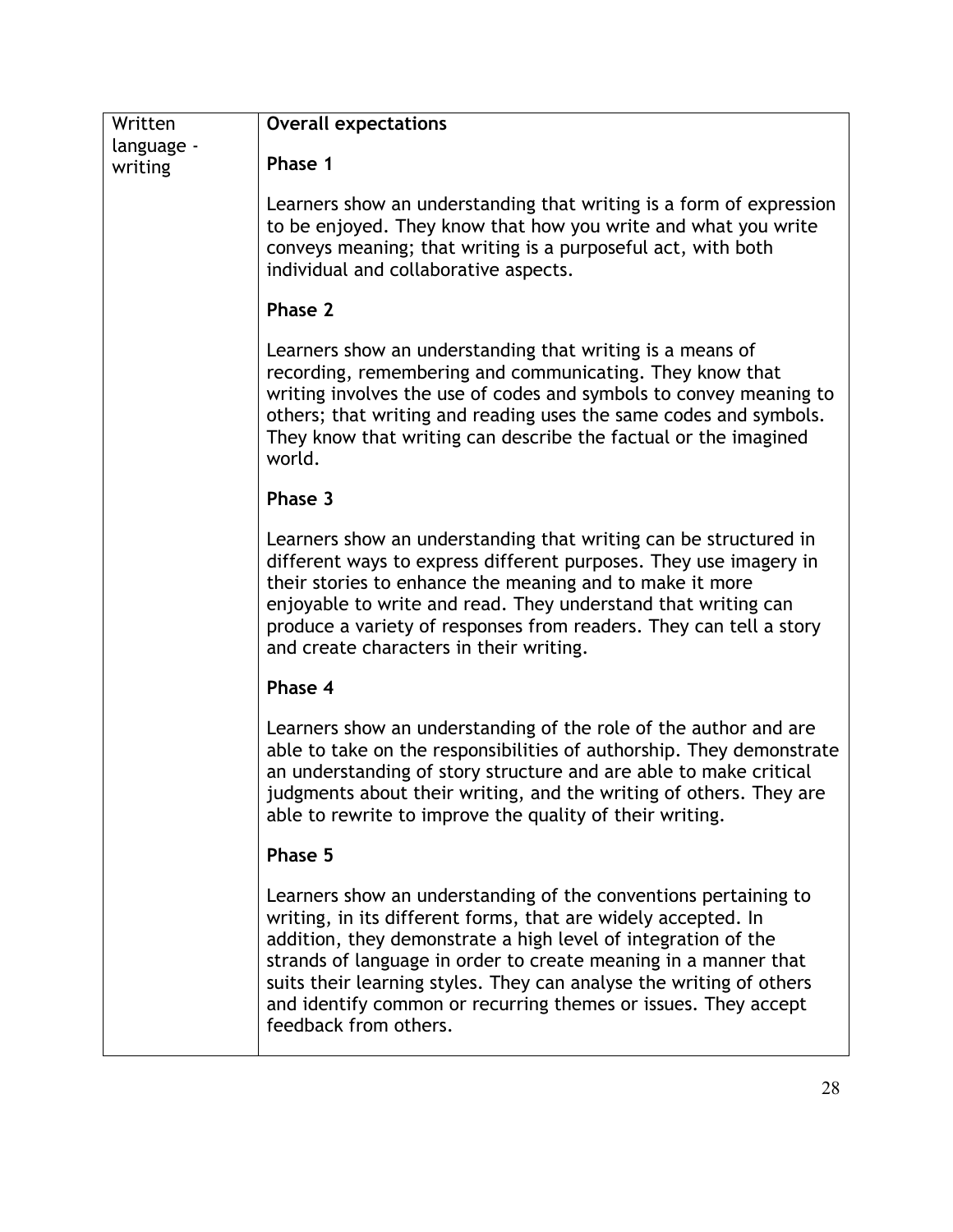| Written               | <b>Overall expectations</b>                                                                                                                                                                                                                                                                                                                                                                                                            |
|-----------------------|----------------------------------------------------------------------------------------------------------------------------------------------------------------------------------------------------------------------------------------------------------------------------------------------------------------------------------------------------------------------------------------------------------------------------------------|
| language -<br>writing | Phase 1                                                                                                                                                                                                                                                                                                                                                                                                                                |
|                       | Learners show an understanding that writing is a form of expression<br>to be enjoyed. They know that how you write and what you write<br>conveys meaning; that writing is a purposeful act, with both<br>individual and collaborative aspects.                                                                                                                                                                                         |
|                       | Phase 2                                                                                                                                                                                                                                                                                                                                                                                                                                |
|                       | Learners show an understanding that writing is a means of<br>recording, remembering and communicating. They know that<br>writing involves the use of codes and symbols to convey meaning to<br>others; that writing and reading uses the same codes and symbols.<br>They know that writing can describe the factual or the imagined<br>world.                                                                                          |
|                       | Phase 3                                                                                                                                                                                                                                                                                                                                                                                                                                |
|                       | Learners show an understanding that writing can be structured in<br>different ways to express different purposes. They use imagery in<br>their stories to enhance the meaning and to make it more<br>enjoyable to write and read. They understand that writing can<br>produce a variety of responses from readers. They can tell a story<br>and create characters in their writing.                                                    |
|                       | Phase 4                                                                                                                                                                                                                                                                                                                                                                                                                                |
|                       | Learners show an understanding of the role of the author and are<br>able to take on the responsibilities of authorship. They demonstrate<br>an understanding of story structure and are able to make critical<br>judgments about their writing, and the writing of others. They are<br>able to rewrite to improve the quality of their writing.                                                                                        |
|                       | Phase 5                                                                                                                                                                                                                                                                                                                                                                                                                                |
|                       | Learners show an understanding of the conventions pertaining to<br>writing, in its different forms, that are widely accepted. In<br>addition, they demonstrate a high level of integration of the<br>strands of language in order to create meaning in a manner that<br>suits their learning styles. They can analyse the writing of others<br>and identify common or recurring themes or issues. They accept<br>feedback from others. |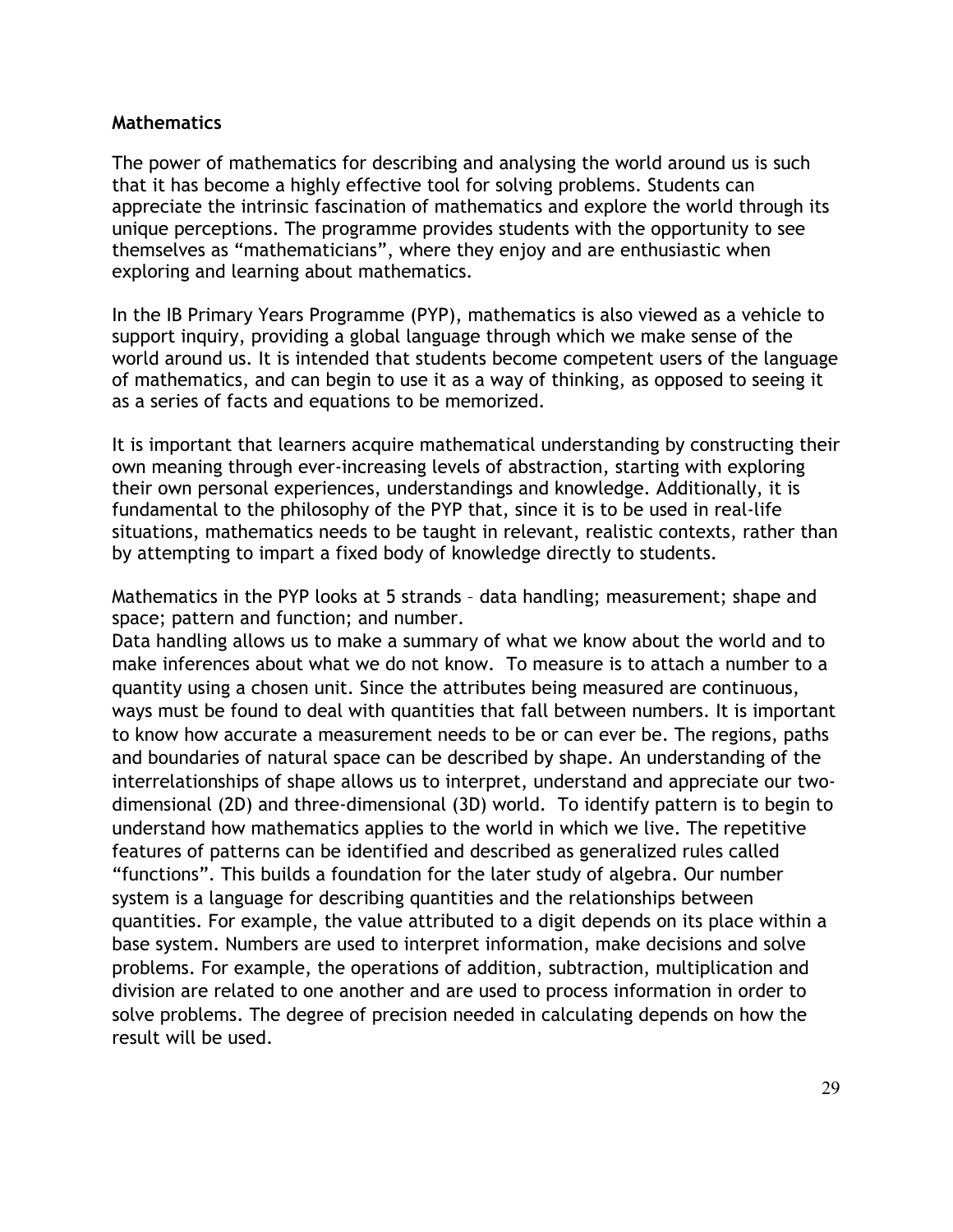#### **Mathematics**

The power of mathematics for describing and analysing the world around us is such that it has become a highly effective tool for solving problems. Students can appreciate the intrinsic fascination of mathematics and explore the world through its unique perceptions. The programme provides students with the opportunity to see themselves as "mathematicians", where they enjoy and are enthusiastic when exploring and learning about mathematics.

In the IB Primary Years Programme (PYP), mathematics is also viewed as a vehicle to support inquiry, providing a global language through which we make sense of the world around us. It is intended that students become competent users of the language of mathematics, and can begin to use it as a way of thinking, as opposed to seeing it as a series of facts and equations to be memorized.

It is important that learners acquire mathematical understanding by constructing their own meaning through ever-increasing levels of abstraction, starting with exploring their own personal experiences, understandings and knowledge. Additionally, it is fundamental to the philosophy of the PYP that, since it is to be used in real-life situations, mathematics needs to be taught in relevant, realistic contexts, rather than by attempting to impart a fixed body of knowledge directly to students.

Mathematics in the PYP looks at 5 strands – data handling; measurement; shape and space; pattern and function; and number.

Data handling allows us to make a summary of what we know about the world and to make inferences about what we do not know. To measure is to attach a number to a quantity using a chosen unit. Since the attributes being measured are continuous, ways must be found to deal with quantities that fall between numbers. It is important to know how accurate a measurement needs to be or can ever be. The regions, paths and boundaries of natural space can be described by shape. An understanding of the interrelationships of shape allows us to interpret, understand and appreciate our twodimensional (2D) and three-dimensional (3D) world. To identify pattern is to begin to understand how mathematics applies to the world in which we live. The repetitive features of patterns can be identified and described as generalized rules called "functions". This builds a foundation for the later study of algebra. Our number system is a language for describing quantities and the relationships between quantities. For example, the value attributed to a digit depends on its place within a base system. Numbers are used to interpret information, make decisions and solve problems. For example, the operations of addition, subtraction, multiplication and division are related to one another and are used to process information in order to solve problems. The degree of precision needed in calculating depends on how the result will be used.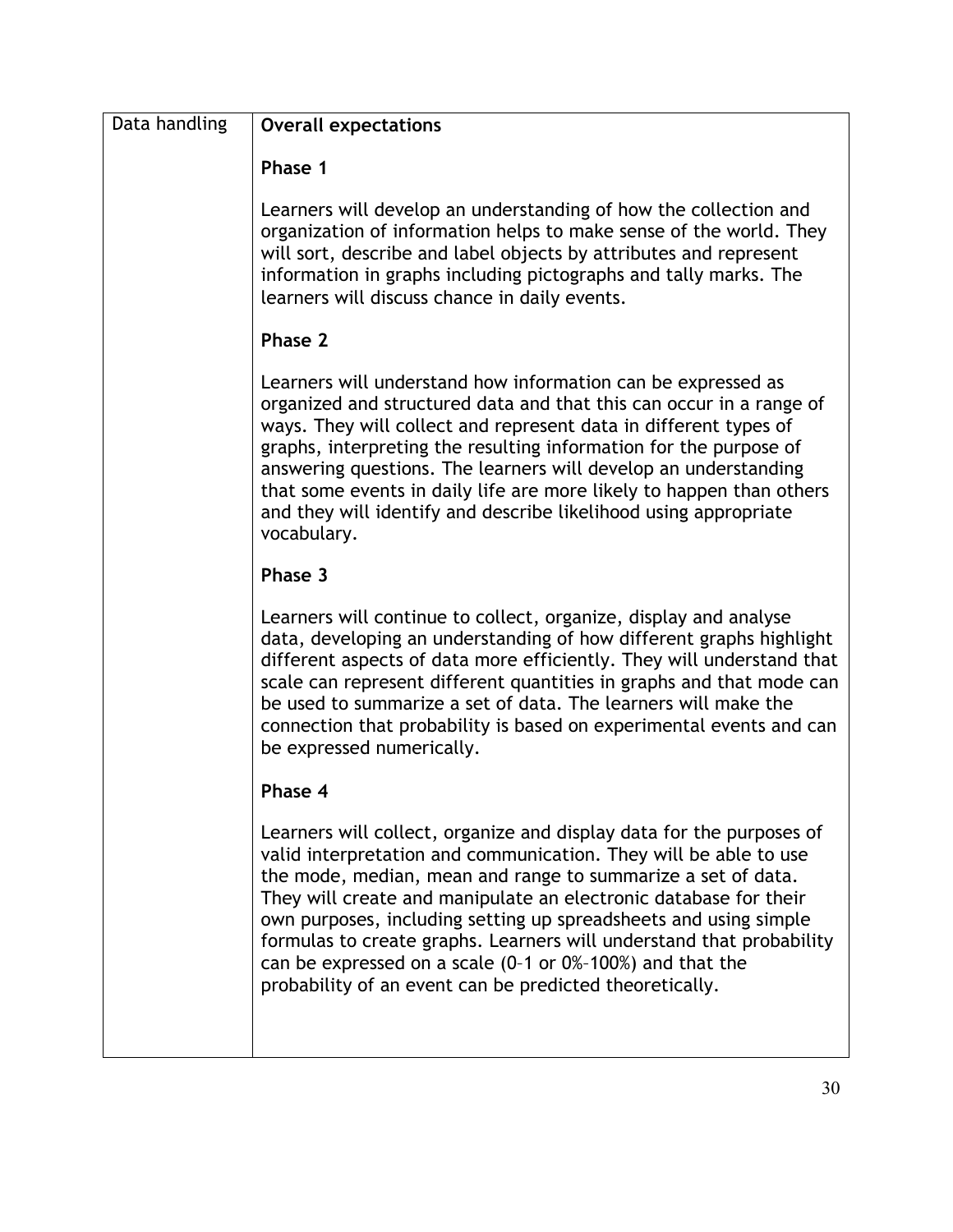| Data handling | <b>Overall expectations</b>                                                                                                                                                                                                                                                                                                                                                                                                                                                                                                                      |
|---------------|--------------------------------------------------------------------------------------------------------------------------------------------------------------------------------------------------------------------------------------------------------------------------------------------------------------------------------------------------------------------------------------------------------------------------------------------------------------------------------------------------------------------------------------------------|
|               | Phase 1                                                                                                                                                                                                                                                                                                                                                                                                                                                                                                                                          |
|               | Learners will develop an understanding of how the collection and<br>organization of information helps to make sense of the world. They<br>will sort, describe and label objects by attributes and represent<br>information in graphs including pictographs and tally marks. The<br>learners will discuss chance in daily events.                                                                                                                                                                                                                 |
|               | Phase 2                                                                                                                                                                                                                                                                                                                                                                                                                                                                                                                                          |
|               | Learners will understand how information can be expressed as<br>organized and structured data and that this can occur in a range of<br>ways. They will collect and represent data in different types of<br>graphs, interpreting the resulting information for the purpose of<br>answering questions. The learners will develop an understanding<br>that some events in daily life are more likely to happen than others<br>and they will identify and describe likelihood using appropriate<br>vocabulary.                                       |
|               | Phase 3                                                                                                                                                                                                                                                                                                                                                                                                                                                                                                                                          |
|               | Learners will continue to collect, organize, display and analyse<br>data, developing an understanding of how different graphs highlight<br>different aspects of data more efficiently. They will understand that<br>scale can represent different quantities in graphs and that mode can<br>be used to summarize a set of data. The learners will make the<br>connection that probability is based on experimental events and can<br>be expressed numerically.                                                                                   |
|               | Phase 4                                                                                                                                                                                                                                                                                                                                                                                                                                                                                                                                          |
|               | Learners will collect, organize and display data for the purposes of<br>valid interpretation and communication. They will be able to use<br>the mode, median, mean and range to summarize a set of data.<br>They will create and manipulate an electronic database for their<br>own purposes, including setting up spreadsheets and using simple<br>formulas to create graphs. Learners will understand that probability<br>can be expressed on a scale (0-1 or 0%-100%) and that the<br>probability of an event can be predicted theoretically. |
|               |                                                                                                                                                                                                                                                                                                                                                                                                                                                                                                                                                  |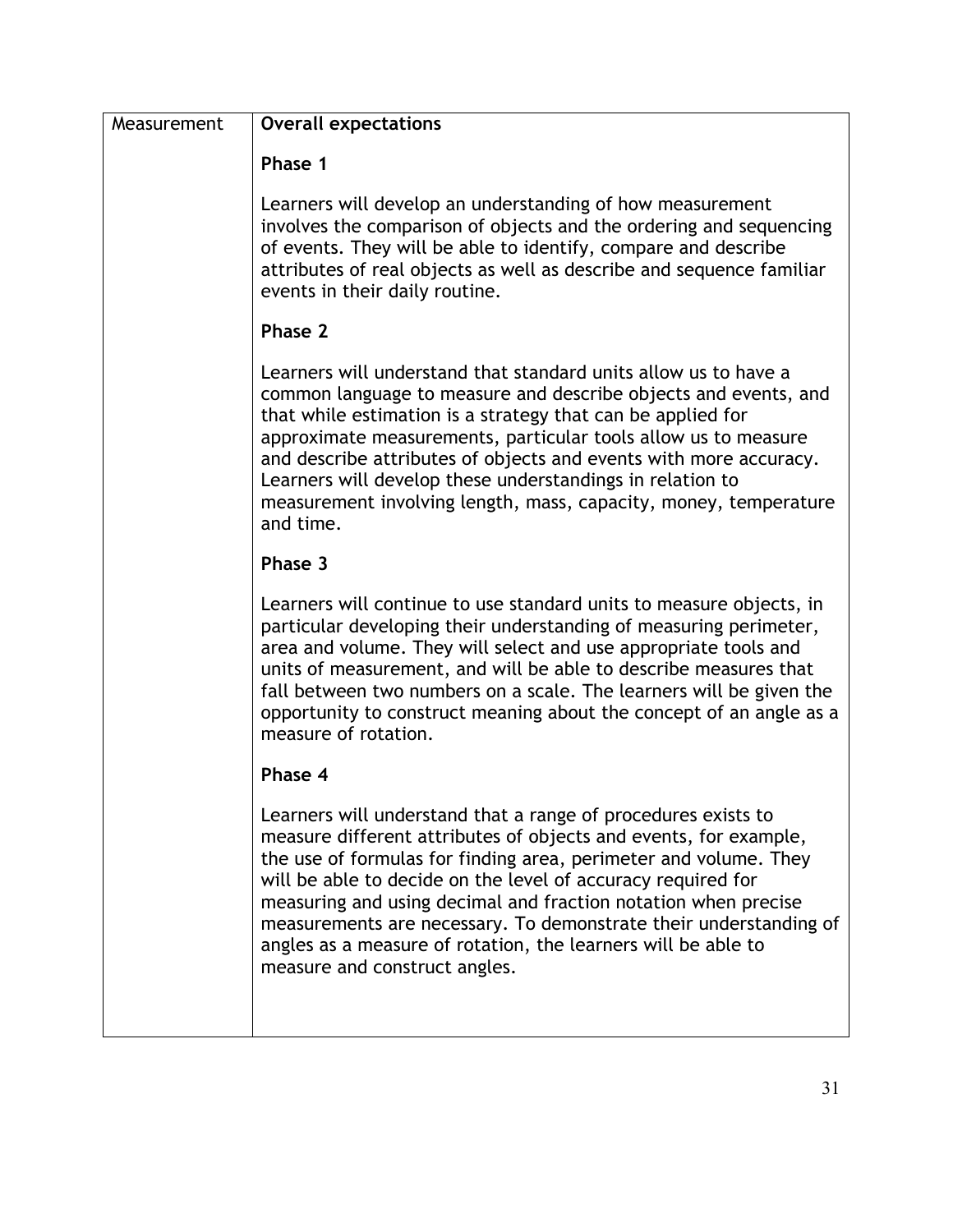| Measurement | <b>Overall expectations</b>                                                                                                                                                                                                                                                                                                                                                                                                                                                                                    |
|-------------|----------------------------------------------------------------------------------------------------------------------------------------------------------------------------------------------------------------------------------------------------------------------------------------------------------------------------------------------------------------------------------------------------------------------------------------------------------------------------------------------------------------|
|             | Phase 1                                                                                                                                                                                                                                                                                                                                                                                                                                                                                                        |
|             | Learners will develop an understanding of how measurement<br>involves the comparison of objects and the ordering and sequencing<br>of events. They will be able to identify, compare and describe<br>attributes of real objects as well as describe and sequence familiar<br>events in their daily routine.                                                                                                                                                                                                    |
|             | Phase 2                                                                                                                                                                                                                                                                                                                                                                                                                                                                                                        |
|             | Learners will understand that standard units allow us to have a<br>common language to measure and describe objects and events, and<br>that while estimation is a strategy that can be applied for<br>approximate measurements, particular tools allow us to measure<br>and describe attributes of objects and events with more accuracy.<br>Learners will develop these understandings in relation to<br>measurement involving length, mass, capacity, money, temperature<br>and time.                         |
|             | Phase 3                                                                                                                                                                                                                                                                                                                                                                                                                                                                                                        |
|             | Learners will continue to use standard units to measure objects, in<br>particular developing their understanding of measuring perimeter,<br>area and volume. They will select and use appropriate tools and<br>units of measurement, and will be able to describe measures that<br>fall between two numbers on a scale. The learners will be given the<br>opportunity to construct meaning about the concept of an angle as a<br>measure of rotation.                                                          |
|             | Phase 4                                                                                                                                                                                                                                                                                                                                                                                                                                                                                                        |
|             | Learners will understand that a range of procedures exists to<br>measure different attributes of objects and events, for example,<br>the use of formulas for finding area, perimeter and volume. They<br>will be able to decide on the level of accuracy required for<br>measuring and using decimal and fraction notation when precise<br>measurements are necessary. To demonstrate their understanding of<br>angles as a measure of rotation, the learners will be able to<br>measure and construct angles. |
|             |                                                                                                                                                                                                                                                                                                                                                                                                                                                                                                                |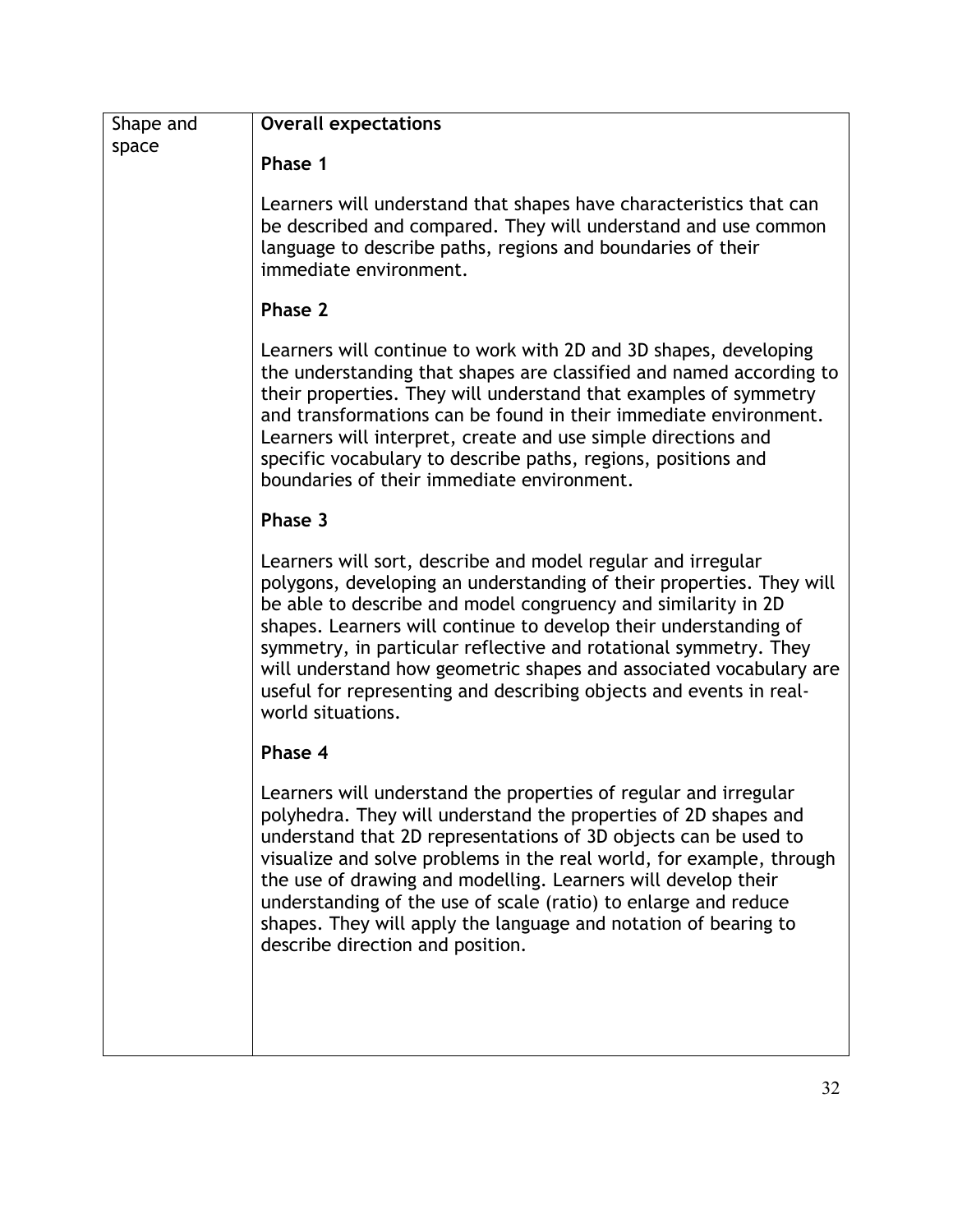| Shape and | <b>Overall expectations</b>                                                                                                                                                                                                                                                                                                                                                                                                                                                                                               |
|-----------|---------------------------------------------------------------------------------------------------------------------------------------------------------------------------------------------------------------------------------------------------------------------------------------------------------------------------------------------------------------------------------------------------------------------------------------------------------------------------------------------------------------------------|
| space     | Phase 1                                                                                                                                                                                                                                                                                                                                                                                                                                                                                                                   |
|           | Learners will understand that shapes have characteristics that can<br>be described and compared. They will understand and use common<br>language to describe paths, regions and boundaries of their<br>immediate environment.                                                                                                                                                                                                                                                                                             |
|           | Phase 2                                                                                                                                                                                                                                                                                                                                                                                                                                                                                                                   |
|           | Learners will continue to work with 2D and 3D shapes, developing<br>the understanding that shapes are classified and named according to<br>their properties. They will understand that examples of symmetry<br>and transformations can be found in their immediate environment.<br>Learners will interpret, create and use simple directions and<br>specific vocabulary to describe paths, regions, positions and<br>boundaries of their immediate environment.                                                           |
|           | Phase 3                                                                                                                                                                                                                                                                                                                                                                                                                                                                                                                   |
|           | Learners will sort, describe and model regular and irregular<br>polygons, developing an understanding of their properties. They will<br>be able to describe and model congruency and similarity in 2D<br>shapes. Learners will continue to develop their understanding of<br>symmetry, in particular reflective and rotational symmetry. They<br>will understand how geometric shapes and associated vocabulary are<br>useful for representing and describing objects and events in real-<br>world situations.            |
|           | Phase 4                                                                                                                                                                                                                                                                                                                                                                                                                                                                                                                   |
|           | Learners will understand the properties of regular and irregular<br>polyhedra. They will understand the properties of 2D shapes and<br>understand that 2D representations of 3D objects can be used to<br>visualize and solve problems in the real world, for example, through<br>the use of drawing and modelling. Learners will develop their<br>understanding of the use of scale (ratio) to enlarge and reduce<br>shapes. They will apply the language and notation of bearing to<br>describe direction and position. |
|           |                                                                                                                                                                                                                                                                                                                                                                                                                                                                                                                           |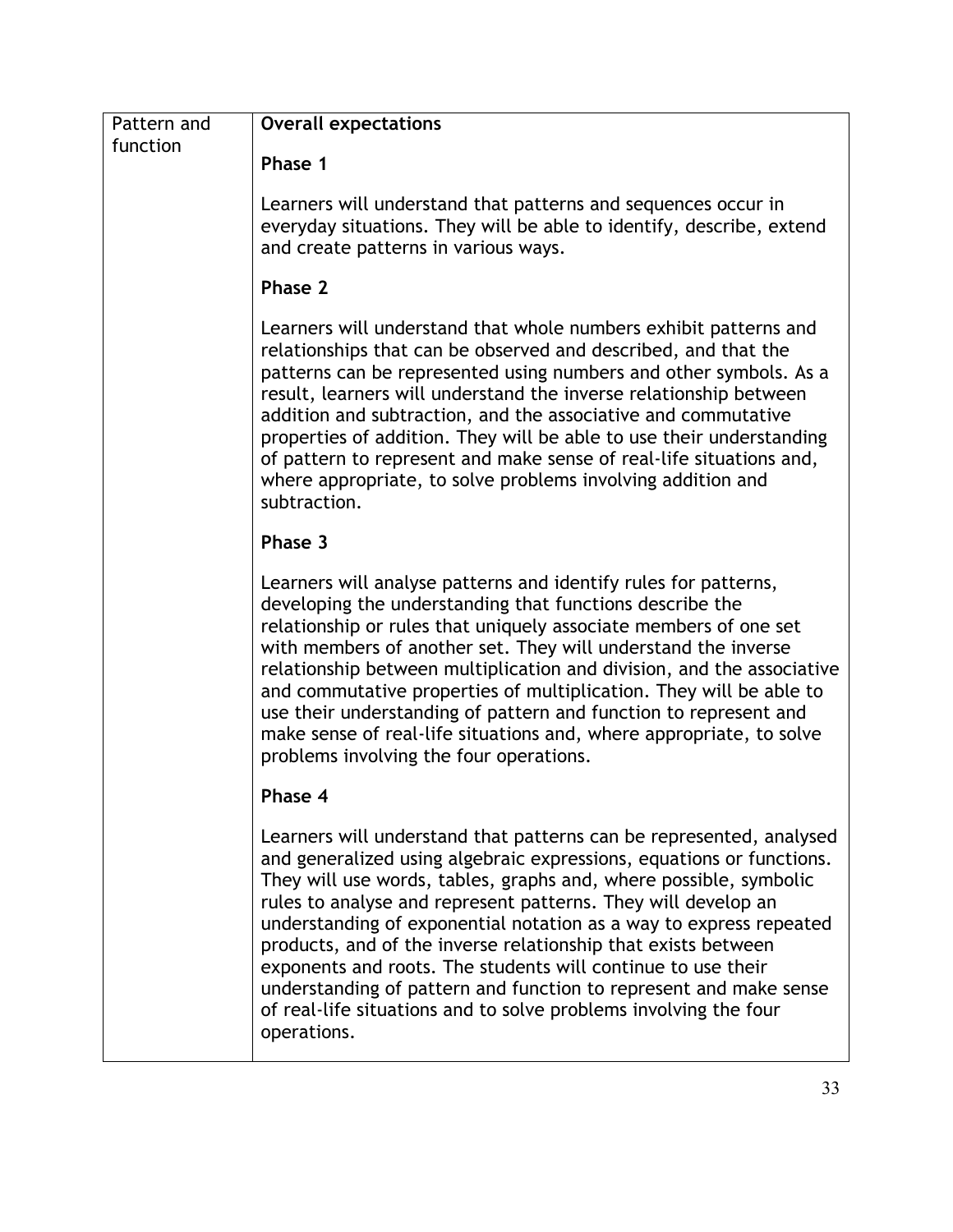| Pattern and | <b>Overall expectations</b>                                                                                                                                                                                                                                                                                                                                                                                                                                                                                                                                                                                                                      |
|-------------|--------------------------------------------------------------------------------------------------------------------------------------------------------------------------------------------------------------------------------------------------------------------------------------------------------------------------------------------------------------------------------------------------------------------------------------------------------------------------------------------------------------------------------------------------------------------------------------------------------------------------------------------------|
| function    | Phase 1                                                                                                                                                                                                                                                                                                                                                                                                                                                                                                                                                                                                                                          |
|             | Learners will understand that patterns and sequences occur in<br>everyday situations. They will be able to identify, describe, extend<br>and create patterns in various ways.                                                                                                                                                                                                                                                                                                                                                                                                                                                                    |
|             | Phase 2                                                                                                                                                                                                                                                                                                                                                                                                                                                                                                                                                                                                                                          |
|             | Learners will understand that whole numbers exhibit patterns and<br>relationships that can be observed and described, and that the<br>patterns can be represented using numbers and other symbols. As a<br>result, learners will understand the inverse relationship between<br>addition and subtraction, and the associative and commutative<br>properties of addition. They will be able to use their understanding<br>of pattern to represent and make sense of real-life situations and,<br>where appropriate, to solve problems involving addition and<br>subtraction.                                                                      |
|             | Phase 3                                                                                                                                                                                                                                                                                                                                                                                                                                                                                                                                                                                                                                          |
|             | Learners will analyse patterns and identify rules for patterns,<br>developing the understanding that functions describe the<br>relationship or rules that uniquely associate members of one set<br>with members of another set. They will understand the inverse<br>relationship between multiplication and division, and the associative<br>and commutative properties of multiplication. They will be able to<br>use their understanding of pattern and function to represent and<br>make sense of real-life situations and, where appropriate, to solve<br>problems involving the four operations.                                            |
|             | Phase 4                                                                                                                                                                                                                                                                                                                                                                                                                                                                                                                                                                                                                                          |
|             | Learners will understand that patterns can be represented, analysed<br>and generalized using algebraic expressions, equations or functions.<br>They will use words, tables, graphs and, where possible, symbolic<br>rules to analyse and represent patterns. They will develop an<br>understanding of exponential notation as a way to express repeated<br>products, and of the inverse relationship that exists between<br>exponents and roots. The students will continue to use their<br>understanding of pattern and function to represent and make sense<br>of real-life situations and to solve problems involving the four<br>operations. |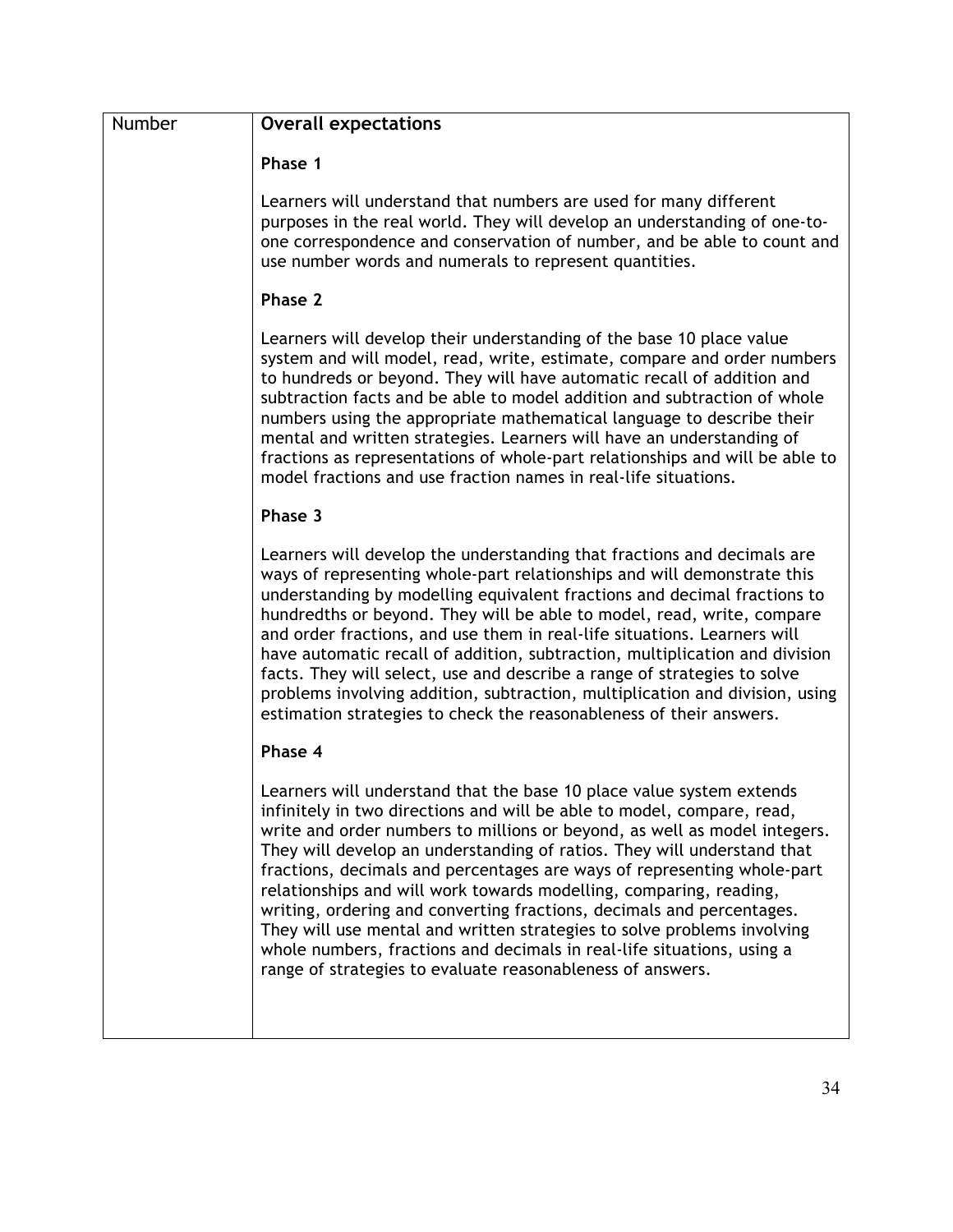| Number | <b>Overall expectations</b>                                                                                                                                                                                                                                                                                                                                                                                                                                                                                                                                                                                                                                                                                                                         |
|--------|-----------------------------------------------------------------------------------------------------------------------------------------------------------------------------------------------------------------------------------------------------------------------------------------------------------------------------------------------------------------------------------------------------------------------------------------------------------------------------------------------------------------------------------------------------------------------------------------------------------------------------------------------------------------------------------------------------------------------------------------------------|
|        | Phase 1                                                                                                                                                                                                                                                                                                                                                                                                                                                                                                                                                                                                                                                                                                                                             |
|        | Learners will understand that numbers are used for many different<br>purposes in the real world. They will develop an understanding of one-to-<br>one correspondence and conservation of number, and be able to count and<br>use number words and numerals to represent quantities.                                                                                                                                                                                                                                                                                                                                                                                                                                                                 |
|        | Phase 2                                                                                                                                                                                                                                                                                                                                                                                                                                                                                                                                                                                                                                                                                                                                             |
|        | Learners will develop their understanding of the base 10 place value<br>system and will model, read, write, estimate, compare and order numbers<br>to hundreds or beyond. They will have automatic recall of addition and<br>subtraction facts and be able to model addition and subtraction of whole<br>numbers using the appropriate mathematical language to describe their<br>mental and written strategies. Learners will have an understanding of<br>fractions as representations of whole-part relationships and will be able to<br>model fractions and use fraction names in real-life situations.                                                                                                                                          |
|        | Phase 3                                                                                                                                                                                                                                                                                                                                                                                                                                                                                                                                                                                                                                                                                                                                             |
|        | Learners will develop the understanding that fractions and decimals are<br>ways of representing whole-part relationships and will demonstrate this<br>understanding by modelling equivalent fractions and decimal fractions to<br>hundredths or beyond. They will be able to model, read, write, compare<br>and order fractions, and use them in real-life situations. Learners will<br>have automatic recall of addition, subtraction, multiplication and division<br>facts. They will select, use and describe a range of strategies to solve<br>problems involving addition, subtraction, multiplication and division, using<br>estimation strategies to check the reasonableness of their answers.                                              |
|        | Phase 4                                                                                                                                                                                                                                                                                                                                                                                                                                                                                                                                                                                                                                                                                                                                             |
|        | Learners will understand that the base 10 place value system extends<br>infinitely in two directions and will be able to model, compare, read,<br>write and order numbers to millions or beyond, as well as model integers.<br>They will develop an understanding of ratios. They will understand that<br>fractions, decimals and percentages are ways of representing whole-part<br>relationships and will work towards modelling, comparing, reading,<br>writing, ordering and converting fractions, decimals and percentages.<br>They will use mental and written strategies to solve problems involving<br>whole numbers, fractions and decimals in real-life situations, using a<br>range of strategies to evaluate reasonableness of answers. |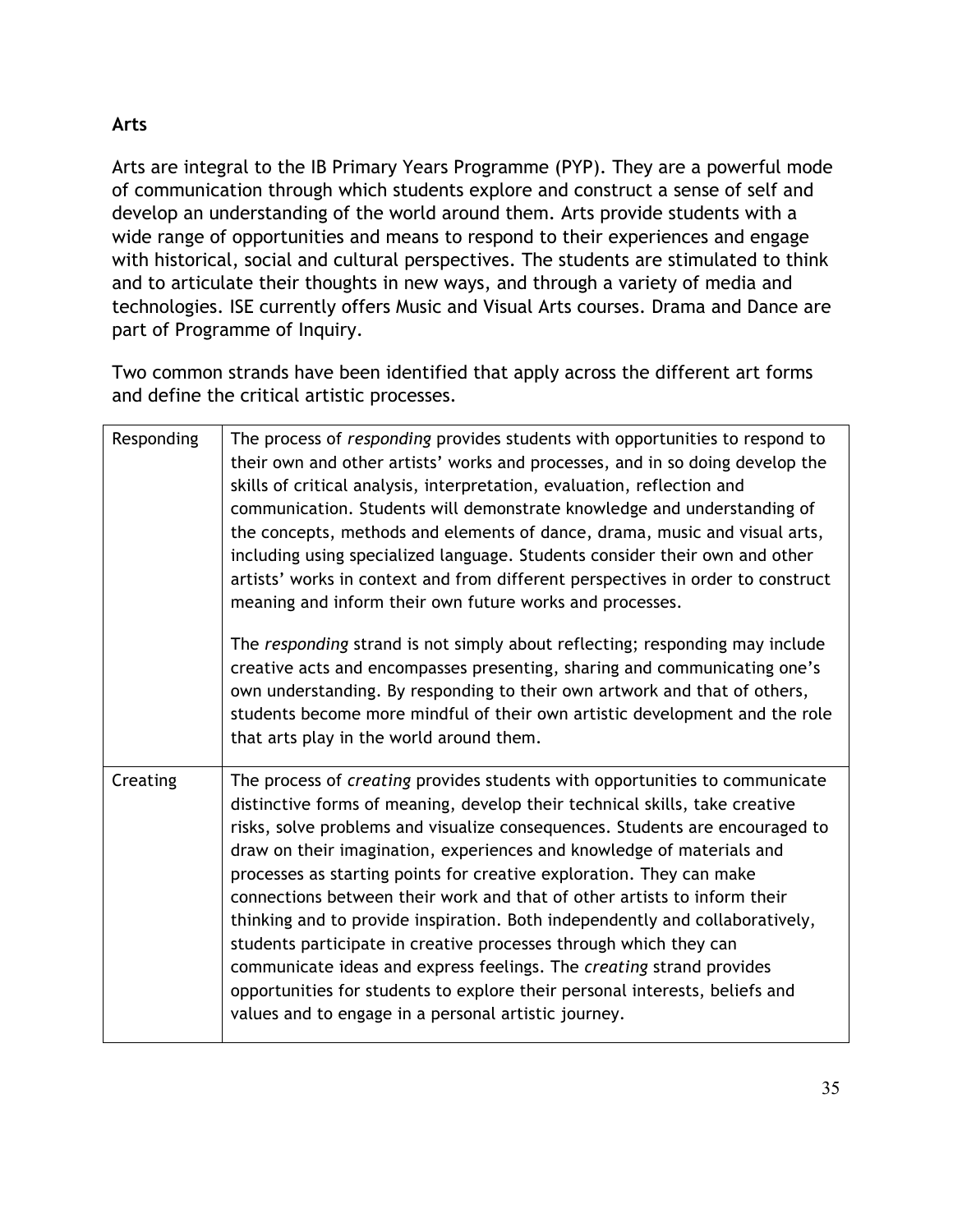#### **Arts**

Arts are integral to the IB Primary Years Programme (PYP). They are a powerful mode of communication through which students explore and construct a sense of self and develop an understanding of the world around them. Arts provide students with a wide range of opportunities and means to respond to their experiences and engage with historical, social and cultural perspectives. The students are stimulated to think and to articulate their thoughts in new ways, and through a variety of media and technologies. ISE currently offers Music and Visual Arts courses. Drama and Dance are part of Programme of Inquiry.

Two common strands have been identified that apply across the different art forms and define the critical artistic processes.

| Responding | The process of responding provides students with opportunities to respond to<br>their own and other artists' works and processes, and in so doing develop the<br>skills of critical analysis, interpretation, evaluation, reflection and<br>communication. Students will demonstrate knowledge and understanding of<br>the concepts, methods and elements of dance, drama, music and visual arts,<br>including using specialized language. Students consider their own and other<br>artists' works in context and from different perspectives in order to construct<br>meaning and inform their own future works and processes.                                                                                                                                                                                                                    |
|------------|----------------------------------------------------------------------------------------------------------------------------------------------------------------------------------------------------------------------------------------------------------------------------------------------------------------------------------------------------------------------------------------------------------------------------------------------------------------------------------------------------------------------------------------------------------------------------------------------------------------------------------------------------------------------------------------------------------------------------------------------------------------------------------------------------------------------------------------------------|
|            | The responding strand is not simply about reflecting; responding may include<br>creative acts and encompasses presenting, sharing and communicating one's<br>own understanding. By responding to their own artwork and that of others,<br>students become more mindful of their own artistic development and the role<br>that arts play in the world around them.                                                                                                                                                                                                                                                                                                                                                                                                                                                                                  |
| Creating   | The process of <i>creating</i> provides students with opportunities to communicate<br>distinctive forms of meaning, develop their technical skills, take creative<br>risks, solve problems and visualize consequences. Students are encouraged to<br>draw on their imagination, experiences and knowledge of materials and<br>processes as starting points for creative exploration. They can make<br>connections between their work and that of other artists to inform their<br>thinking and to provide inspiration. Both independently and collaboratively,<br>students participate in creative processes through which they can<br>communicate ideas and express feelings. The creating strand provides<br>opportunities for students to explore their personal interests, beliefs and<br>values and to engage in a personal artistic journey. |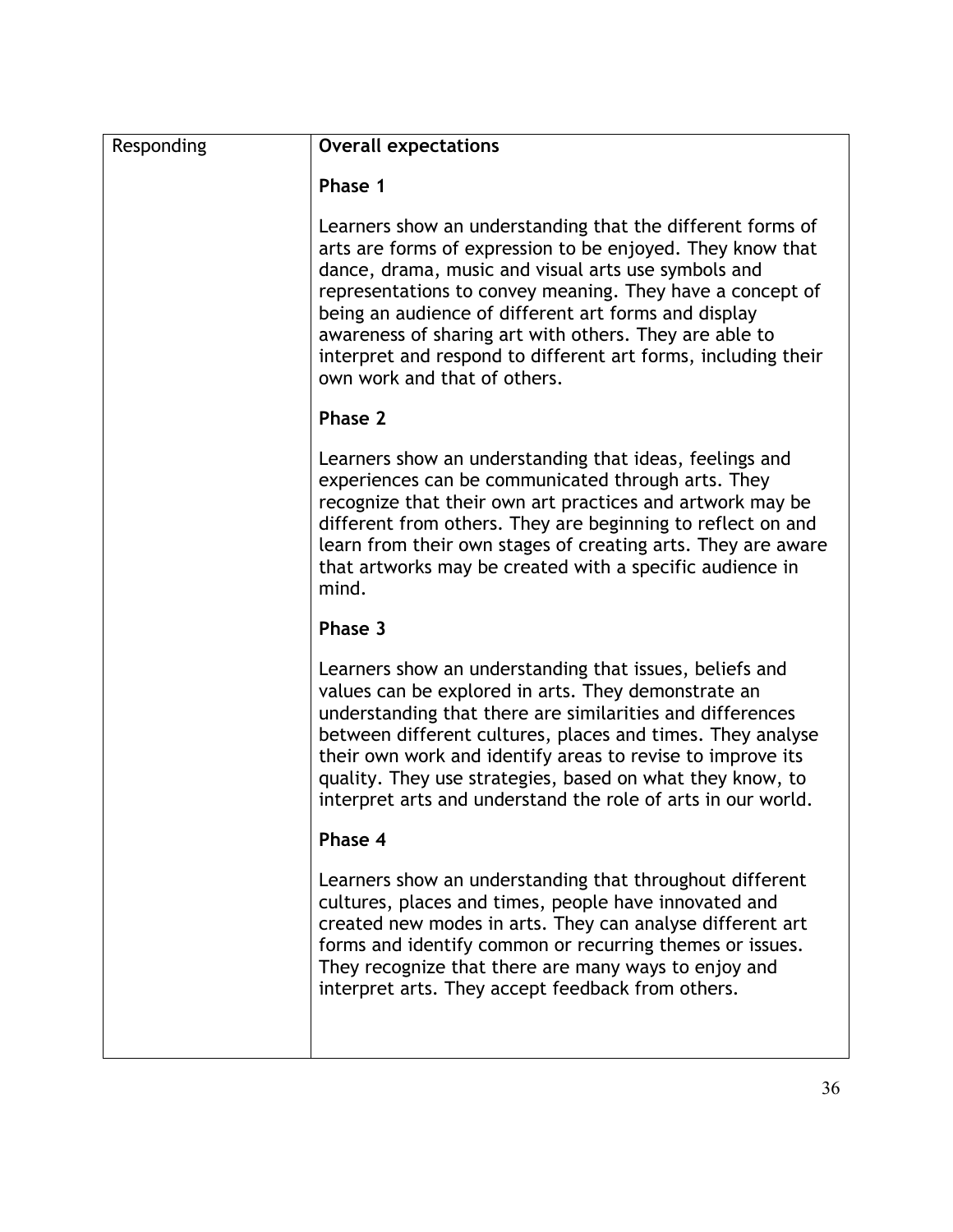| Responding | <b>Overall expectations</b>                                                                                                                                                                                                                                                                                                                                                                                                                                     |
|------------|-----------------------------------------------------------------------------------------------------------------------------------------------------------------------------------------------------------------------------------------------------------------------------------------------------------------------------------------------------------------------------------------------------------------------------------------------------------------|
|            | Phase 1                                                                                                                                                                                                                                                                                                                                                                                                                                                         |
|            | Learners show an understanding that the different forms of<br>arts are forms of expression to be enjoyed. They know that<br>dance, drama, music and visual arts use symbols and<br>representations to convey meaning. They have a concept of<br>being an audience of different art forms and display<br>awareness of sharing art with others. They are able to<br>interpret and respond to different art forms, including their<br>own work and that of others. |
|            | Phase 2                                                                                                                                                                                                                                                                                                                                                                                                                                                         |
|            | Learners show an understanding that ideas, feelings and<br>experiences can be communicated through arts. They<br>recognize that their own art practices and artwork may be<br>different from others. They are beginning to reflect on and<br>learn from their own stages of creating arts. They are aware<br>that artworks may be created with a specific audience in<br>mind.                                                                                  |
|            | Phase 3                                                                                                                                                                                                                                                                                                                                                                                                                                                         |
|            | Learners show an understanding that issues, beliefs and<br>values can be explored in arts. They demonstrate an<br>understanding that there are similarities and differences<br>between different cultures, places and times. They analyse<br>their own work and identify areas to revise to improve its<br>quality. They use strategies, based on what they know, to<br>interpret arts and understand the role of arts in our world.                            |
|            | Phase 4                                                                                                                                                                                                                                                                                                                                                                                                                                                         |
|            | Learners show an understanding that throughout different<br>cultures, places and times, people have innovated and<br>created new modes in arts. They can analyse different art<br>forms and identify common or recurring themes or issues.<br>They recognize that there are many ways to enjoy and<br>interpret arts. They accept feedback from others.                                                                                                         |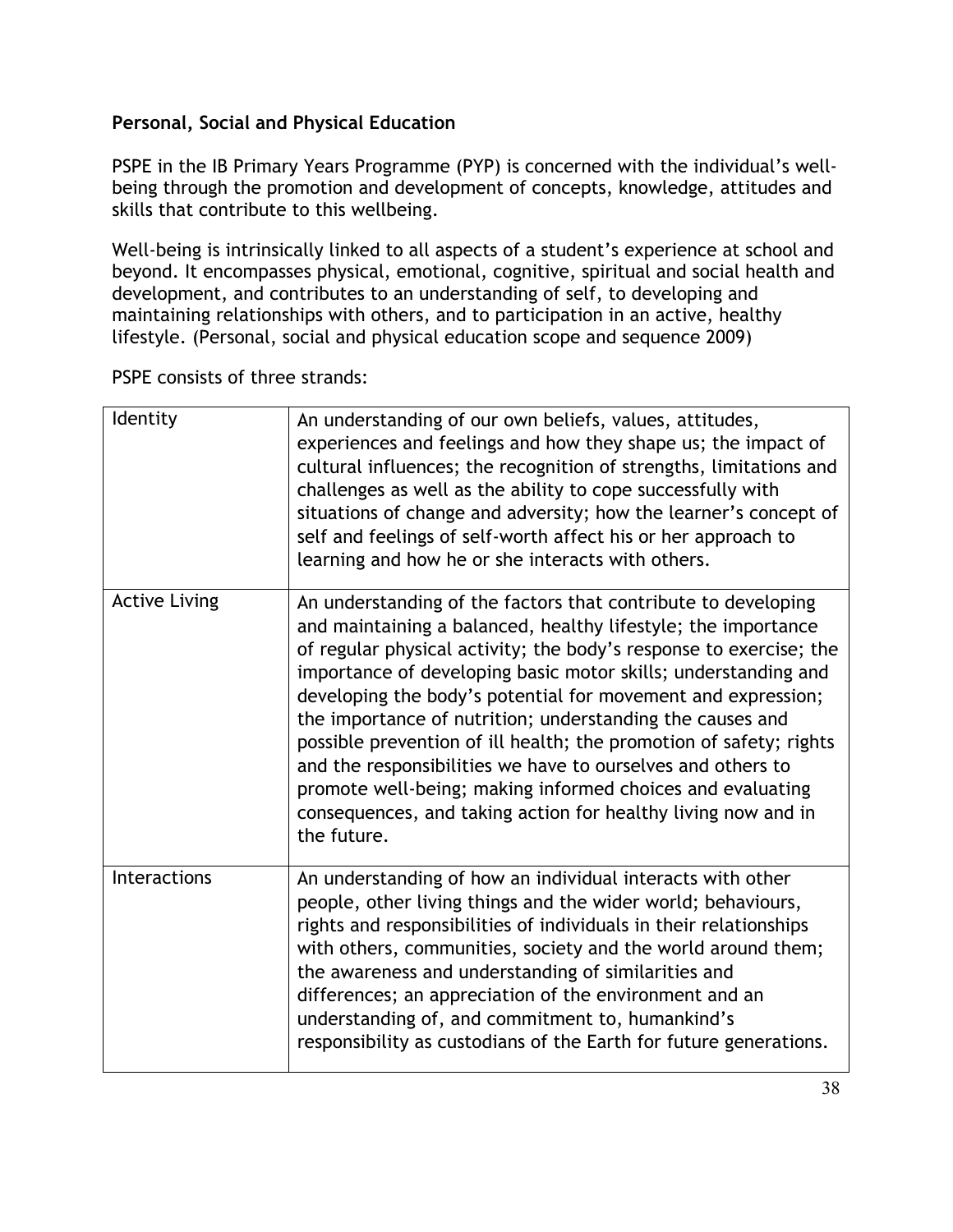#### **Personal, Social and Physical Education**

PSPE in the IB Primary Years Programme (PYP) is concerned with the individual's wellbeing through the promotion and development of concepts, knowledge, attitudes and skills that contribute to this wellbeing.

Well-being is intrinsically linked to all aspects of a student's experience at school and beyond. It encompasses physical, emotional, cognitive, spiritual and social health and development, and contributes to an understanding of self, to developing and maintaining relationships with others, and to participation in an active, healthy lifestyle. (Personal, social and physical education scope and sequence 2009)

Identity  $|\text{An understanding of our own beliefs, values, attitudes,$ experiences and feelings and how they shape us; the impact of cultural influences; the recognition of strengths, limitations and challenges as well as the ability to cope successfully with situations of change and adversity; how the learner's concept of self and feelings of self-worth affect his or her approach to learning and how he or she interacts with others. Active Living  $\vert$  An understanding of the factors that contribute to developing and maintaining a balanced, healthy lifestyle; the importance of regular physical activity; the body's response to exercise; the importance of developing basic motor skills; understanding and developing the body's potential for movement and expression; the importance of nutrition; understanding the causes and possible prevention of ill health; the promotion of safety; rights and the responsibilities we have to ourselves and others to promote well-being; making informed choices and evaluating consequences, and taking action for healthy living now and in the future. Interactions  $|$  An understanding of how an individual interacts with other people, other living things and the wider world; behaviours, rights and responsibilities of individuals in their relationships with others, communities, society and the world around them; the awareness and understanding of similarities and differences; an appreciation of the environment and an understanding of, and commitment to, humankind's responsibility as custodians of the Earth for future generations.

PSPE consists of three strands: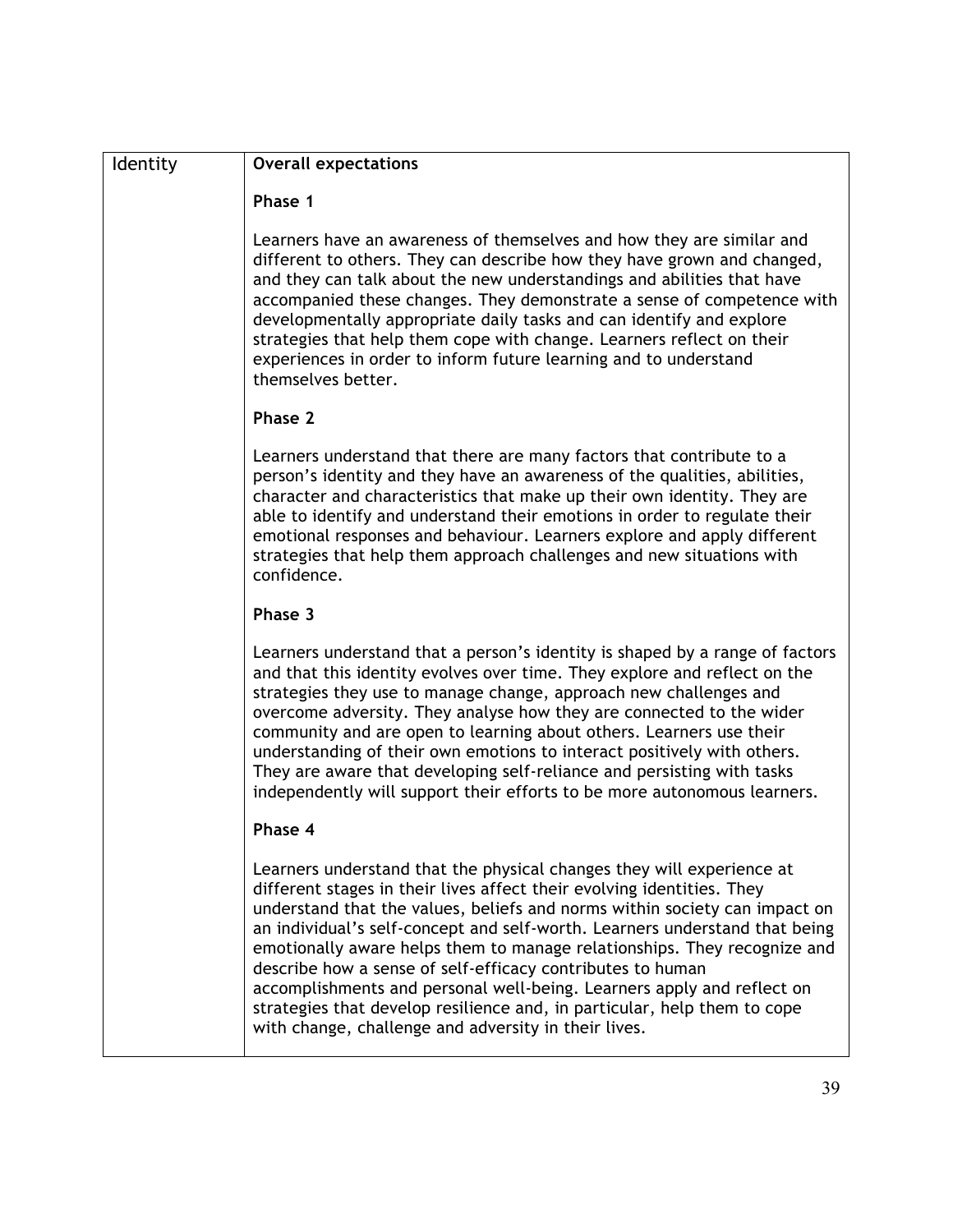| Identity | <b>Overall expectations</b>                                                                                                                                                                                                                                                                                                                                                                                                                                                                                                                                                                                                                                          |
|----------|----------------------------------------------------------------------------------------------------------------------------------------------------------------------------------------------------------------------------------------------------------------------------------------------------------------------------------------------------------------------------------------------------------------------------------------------------------------------------------------------------------------------------------------------------------------------------------------------------------------------------------------------------------------------|
|          | Phase 1                                                                                                                                                                                                                                                                                                                                                                                                                                                                                                                                                                                                                                                              |
|          | Learners have an awareness of themselves and how they are similar and<br>different to others. They can describe how they have grown and changed,<br>and they can talk about the new understandings and abilities that have<br>accompanied these changes. They demonstrate a sense of competence with<br>developmentally appropriate daily tasks and can identify and explore<br>strategies that help them cope with change. Learners reflect on their<br>experiences in order to inform future learning and to understand<br>themselves better.                                                                                                                      |
|          | Phase 2                                                                                                                                                                                                                                                                                                                                                                                                                                                                                                                                                                                                                                                              |
|          | Learners understand that there are many factors that contribute to a<br>person's identity and they have an awareness of the qualities, abilities,<br>character and characteristics that make up their own identity. They are<br>able to identify and understand their emotions in order to regulate their<br>emotional responses and behaviour. Learners explore and apply different<br>strategies that help them approach challenges and new situations with<br>confidence.                                                                                                                                                                                         |
|          | Phase 3                                                                                                                                                                                                                                                                                                                                                                                                                                                                                                                                                                                                                                                              |
|          | Learners understand that a person's identity is shaped by a range of factors<br>and that this identity evolves over time. They explore and reflect on the<br>strategies they use to manage change, approach new challenges and<br>overcome adversity. They analyse how they are connected to the wider<br>community and are open to learning about others. Learners use their<br>understanding of their own emotions to interact positively with others.<br>They are aware that developing self-reliance and persisting with tasks<br>independently will support their efforts to be more autonomous learners.                                                       |
|          | Phase 4                                                                                                                                                                                                                                                                                                                                                                                                                                                                                                                                                                                                                                                              |
|          | Learners understand that the physical changes they will experience at<br>different stages in their lives affect their evolving identities. They<br>understand that the values, beliefs and norms within society can impact on<br>an individual's self-concept and self-worth. Learners understand that being<br>emotionally aware helps them to manage relationships. They recognize and<br>describe how a sense of self-efficacy contributes to human<br>accomplishments and personal well-being. Learners apply and reflect on<br>strategies that develop resilience and, in particular, help them to cope<br>with change, challenge and adversity in their lives. |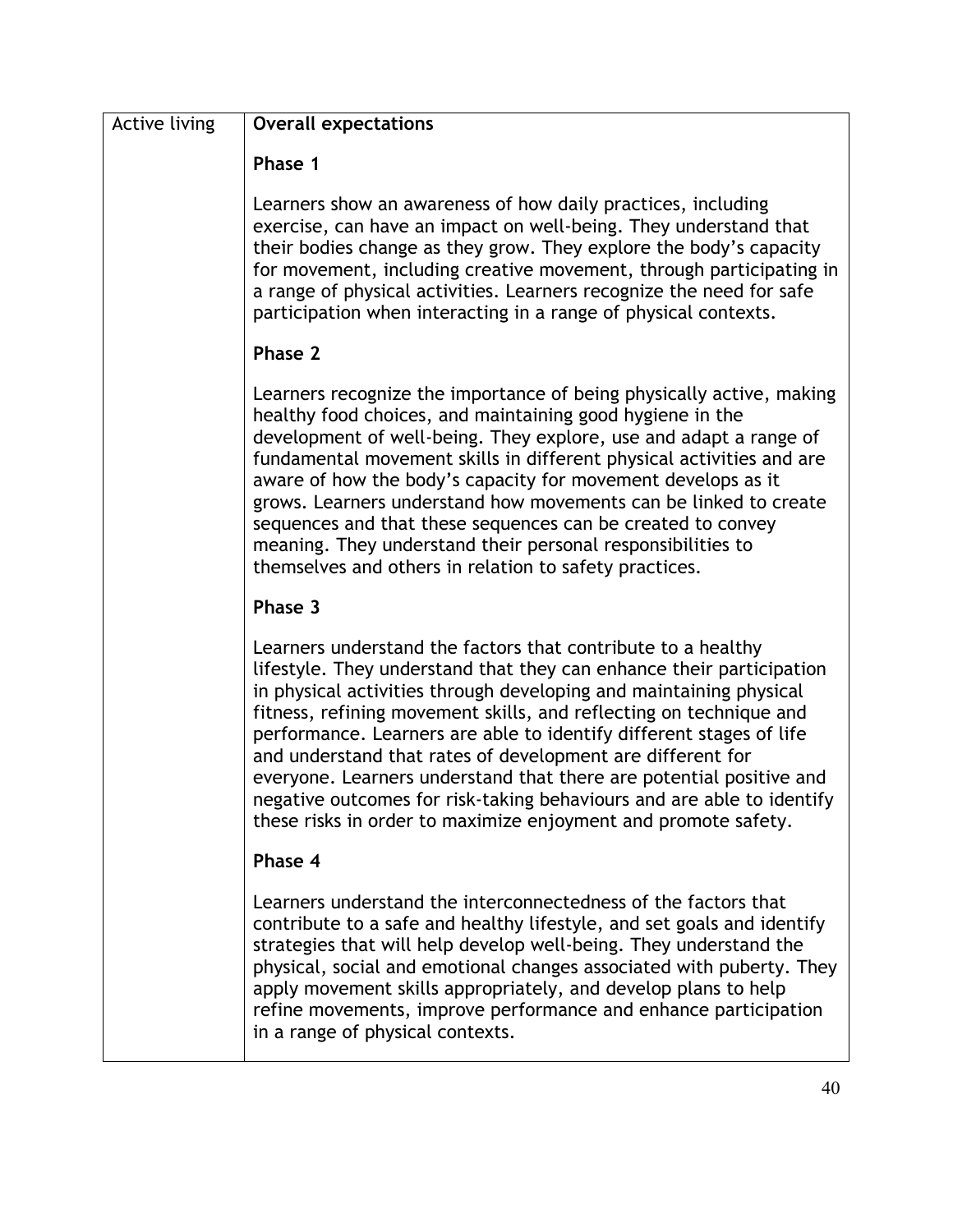| Active living | <b>Overall expectations</b>                                                                                                                                                                                                                                                                                                                                                                                                                                                                                                                                                                                                             |
|---------------|-----------------------------------------------------------------------------------------------------------------------------------------------------------------------------------------------------------------------------------------------------------------------------------------------------------------------------------------------------------------------------------------------------------------------------------------------------------------------------------------------------------------------------------------------------------------------------------------------------------------------------------------|
|               | Phase 1                                                                                                                                                                                                                                                                                                                                                                                                                                                                                                                                                                                                                                 |
|               | Learners show an awareness of how daily practices, including<br>exercise, can have an impact on well-being. They understand that<br>their bodies change as they grow. They explore the body's capacity<br>for movement, including creative movement, through participating in<br>a range of physical activities. Learners recognize the need for safe<br>participation when interacting in a range of physical contexts.                                                                                                                                                                                                                |
|               | Phase 2                                                                                                                                                                                                                                                                                                                                                                                                                                                                                                                                                                                                                                 |
|               | Learners recognize the importance of being physically active, making<br>healthy food choices, and maintaining good hygiene in the<br>development of well-being. They explore, use and adapt a range of<br>fundamental movement skills in different physical activities and are<br>aware of how the body's capacity for movement develops as it<br>grows. Learners understand how movements can be linked to create<br>sequences and that these sequences can be created to convey<br>meaning. They understand their personal responsibilities to<br>themselves and others in relation to safety practices.                              |
|               | Phase 3                                                                                                                                                                                                                                                                                                                                                                                                                                                                                                                                                                                                                                 |
|               | Learners understand the factors that contribute to a healthy<br>lifestyle. They understand that they can enhance their participation<br>in physical activities through developing and maintaining physical<br>fitness, refining movement skills, and reflecting on technique and<br>performance. Learners are able to identify different stages of life<br>and understand that rates of development are different for<br>everyone. Learners understand that there are potential positive and<br>negative outcomes for risk-taking behaviours and are able to identify<br>these risks in order to maximize enjoyment and promote safety. |
|               | Phase 4                                                                                                                                                                                                                                                                                                                                                                                                                                                                                                                                                                                                                                 |
|               | Learners understand the interconnectedness of the factors that<br>contribute to a safe and healthy lifestyle, and set goals and identify<br>strategies that will help develop well-being. They understand the<br>physical, social and emotional changes associated with puberty. They<br>apply movement skills appropriately, and develop plans to help<br>refine movements, improve performance and enhance participation<br>in a range of physical contexts.                                                                                                                                                                          |